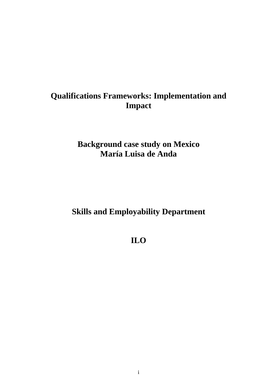# **Qualifications Frameworks: Implementation and Impact**

# **Background case study on Mexico María Luisa de Anda**

# **Skills and Employability Department**

# **ILO**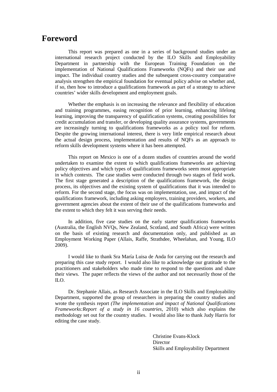# **Foreword**

This report was prepared as one in a series of background studies under an international research project conducted by the ILO Skills and Employability Department in partnership with the European Training Foundation on the implementation of National Qualifications Frameworks (NQFs) and their use and impact. The individual country studies and the subsequent cross-country comparative analysis strengthen the empirical foundation for eventual policy advise on whether and, if so, then how to introduce a qualifications framework as part of a strategy to achieve countries' wider skills development and employment goals.

Whether the emphasis is on increasing the relevance and flexibility of education and training programmes, easing recognition of prior learning, enhancing lifelong learning, improving the transparency of qualification systems, creating possibilities for credit accumulation and transfer, or developing quality assurance systems, governments are increasingly turning to qualifications frameworks as a policy tool for reform. Despite the growing international interest, there is very little empirical research about the actual design process, implementation and results of NQFs as an approach to reform skills development systems where it has been attempted.

This report on Mexico is one of a dozen studies of countries around the world undertaken to examine the extent to which qualifications frameworks are achieving policy objectives and which types of qualifications frameworks seem most appropriate in which contexts. The case studies were conducted through two stages of field work. The first stage generated a description of the qualifications framework, the design process, its objectives and the existing system of qualifications that it was intended to reform. For the second stage, the focus was on implementation, use, and impact of the qualifications framework, including asking employers, training providers, workers, and government agencies about the extent of their use of the qualifications frameworks and the extent to which they felt it was serving their needs.

In addition, five case studies on the early starter qualifications frameworks (Australia, the English NVQs, New Zealand, Scotland, and South Africa) were written on the basis of existing research and documentation only, and published as an Employment Working Paper (Allais, Raffe, Strathdee, Wheelahan, and Young, ILO 2009).

I would like to thank Sra María Luisa de Anda for carrying out the research and preparing this case study report. I would also like to acknowledge our gratitude to the practitioners and stakeholders who made time to respond to the questions and share their views. The paper reflects the views of the author and not necessarily those of the ILO.

Dr. Stephanie Allais, as Research Associate in the ILO Skills and Employability Department, supported the group of researchers in preparing the country studies and wrote the synthesis report *(The implementation and impact of National Qualifications Frameworks:Report of a study in 16 countries*, 2010) which also explains the methodology set out for the country studies. I would also like to thank Judy Harris for editing the case study.

> Christine Evans-Klock Director Skills and Employability Department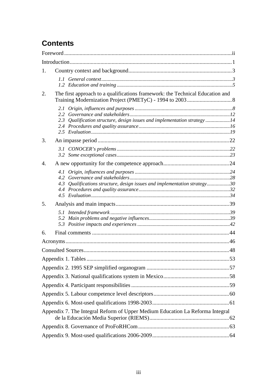# **Contents**

| 1. |                      |                                                                               |  |
|----|----------------------|-------------------------------------------------------------------------------|--|
|    |                      |                                                                               |  |
| 2. |                      | The first approach to a qualifications framework: the Technical Education and |  |
|    | $2.2^{\circ}$<br>2.3 | Qualification structure, design issues and implementation strategy14          |  |
| 3. |                      |                                                                               |  |
|    |                      |                                                                               |  |
| 4. |                      |                                                                               |  |
|    | 4.3                  | Qualifications structure, design issues and implementation strategy30         |  |
| 5. |                      |                                                                               |  |
|    |                      |                                                                               |  |
| 6. |                      |                                                                               |  |
|    |                      |                                                                               |  |
|    |                      |                                                                               |  |
|    |                      |                                                                               |  |
|    |                      |                                                                               |  |
|    |                      |                                                                               |  |
|    |                      |                                                                               |  |
|    |                      |                                                                               |  |
|    |                      |                                                                               |  |
|    |                      | Appendix 7. The Integral Reform of Upper Medium Education La Reforma Integral |  |
|    |                      |                                                                               |  |
|    |                      |                                                                               |  |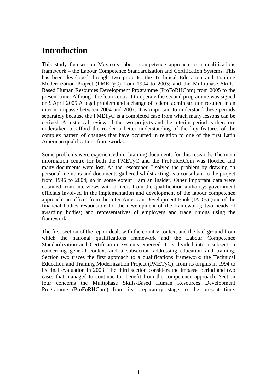# **Introduction**

This study focuses on Mexico's labour competence approach to a qualifications framework – the Labour Competence Standardization and Certification Systems. This has been developed through two projects: the Technical Education and Training Modernization Project (PMETyC) from 1994 to 2003; and the Multiphase Skills-Based Human Resources Development Programme (ProFoRHCom) from 2005 to the present time. Although the loan contract to operate the second programme was signed on 9 April 2005 A legal problem and a change of federal administration resulted in an interim impasse between 2004 and 2007. It is important to understand these periods separately because the PMETyC is a completed case from which many lessons can be derived. A historical review of the two projects and the interim period is therefore undertaken to afford the reader a better understanding of the key features of the complex pattern of changes that have occurred in relation to one of the first Latin American qualifications frameworks.

Some problems were experienced in obtaining documents for this research. The main information centre for both the PMETyC and the ProFoRHCom was flooded and many documents were lost. As the researcher, I solved the problem by drawing on personal memoirs and documents gathered whilst acting as a consultant to the project from 1996 to 2004; so in some extent I am an insider. Other important data were obtained from interviews with officers from the qualification authority; government officials involved in the implementation and development of the labour competence approach; an officer from the Inter-American Development Bank (IADB) (one of the financial bodies responsible for the development of the framework); two heads of awarding bodies; and representatives of employers and trade unions using the framework.

The first section of the report deals with the country context and the background from which the national qualifications framework and the Labour Competence Standardization and Certification Systems emerged. It is divided into a subsection concerning general context and a subsection addressing education and training. Section two traces the first approach to a qualifications framework: the Technical Education and Training Modernization Project (PMETyC); from its origins in 1994 to its final evaluation in 2003. The third section considers the impasse period and two cases that managed to continue to benefit from the competence approach. Section four concerns the Multiphase Skills-Based Human Resources Development Programme (ProFoRHCom) from its preparatory stage to the present time.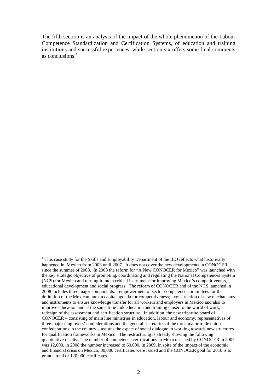The fifth section is an analysis of the impact of the whole phenomenon of the Labour Competence Standardization and Certification Systems, of education and training institutions and successful experiences; while section six offers some final comments as conclusions.<sup>1</sup>

<sup>&</sup>lt;sup>1</sup> This case study for the Skills and Employability Department of the ILO reflects what historically happened in Mexico from 2003 until 2007. It does not cover the new developments in CONOCER since the summer of 2008. In 2008 the reform for "A New CONOCER for Mexico" was launched with the key strategic objective of promoting, coordinating and regulating the National Competences System (NCS) for Mexico and turning it into a critical instrument for improving Mexico's competitiveness, educational development and social progress. The reform of CONOCER and of the NCS launched in 2008 includes three major components: - empowerment of sector competence committees for the definition of the Mexican human capital agenda for competitiveness; - construction of new mechanisms and instruments to ensure knowledge transfer for all workers and employers in Mexico and also to improve education and at the same time link education and training closer to the world of work; redesign of the assessment and certification structure. In addition, the new tripartite board of CONOCER – consisting of main line ministries in education, labour and economy, representatives of three major employers' confederations and the general secretaries of the three major trade union confederations in the country – assures the aspect of social dialogue in working towards new structures for qualification frameworks in Mexico. The restructuring is already showing the following quantitative results. The number of competence certifications in Mexico issued by CONOCER in 2007 was 12,000, in 2008 the number increased to 60,000, in 2009, in spite of the impact of the economic and financial crisis on Mexico, 80,000 certificates were issued and the CONOCER goal for 2010 is to grant a total of 120,000 certificates.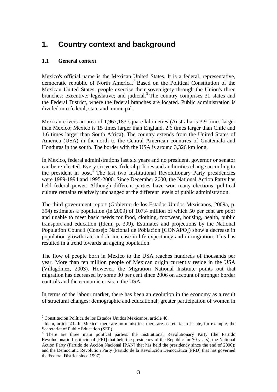# **1. Country context and background**

### **1.1 General context**

Mexico's official name is the Mexican United States. It is a federal, representative, democratic republic of North America.<sup>2</sup> Based on the Political Constitution of the Mexican United States, people exercise their sovereignty through the Union's three branches: executive; legislative; and judicial.<sup>3</sup> The country comprises 31 states and the Federal District, where the federal branches are located. Public administration is divided into federal, state and municipal.

Mexican covers an area of 1,967,183 square kilometres (Australia is 3.9 times larger than Mexico; Mexico is 15 times larger than England, 2.6 times larger than Chile and 1.6 times larger than South Africa). The country extends from the United States of America (USA) in the north to the Central American countries of Guatemala and Honduras in the south. The border with the USA is around 3,326 km long.

In Mexico, federal administrations last six years and no president, governor or senator can be re-elected. Every six years, federal policies and authorities change according to the president in post.<sup>4</sup> The last two Institutional Revolutionary Party presidencies were 1989-1994 and 1995-2000. Since December 2000, the National Action Party has held federal power. Although different parties have won many elections, political culture remains relatively unchanged at the different levels of public administration.

The third government report (Gobierno de los Estados Unidos Mexicanos, 2009a, p. 394) estimates a population (in 2009) of 107.4 million of which 50 per cent are poor and unable to meet basic needs for food, clothing, footwear, housing, health, public transport and education (Idem, p. 399). Estimates and projections by the National Population Council (Consejo Nacional de Población [CONAPO]) show a decrease in population growth rate and an increase in life expectancy and in migration. This has resulted in a trend towards an ageing population.

The flow of people born in Mexico to the USA reaches hundreds of thousands per year. More than ten million people of Mexican origin currently reside in the USA (Villagómez, 2003). However, the Migration National Institute points out that migration has decreased by some 30 per cent since 2006 on account of stronger border controls and the economic crisis in the USA.

In terms of the labour market, there has been an evolution in the economy as a result of structural changes: demographic and educational; greater participation of women in

 2 Constitución Política de los Estados Unidos Mexicanos, article 40.

 $3$  Idem, article 41. In Mexico, there are no ministries; there are secretariats of state, for example, the Secretariat of Public Education (SEP).

<sup>&</sup>lt;sup>4</sup> There are three main political parties: the Institutional Revolutionary Party (the Partido Revolucionario Institucional [PRI] that held the presidency of the Republic for 70 years); the National Action Party (Partido de Acción Nacional [PAN] that has held the presidency since the end of 2000); and the Democratic Revolution Party (Partido de la Revolución Democrática [PRD] that has governed the Federal District since 1997).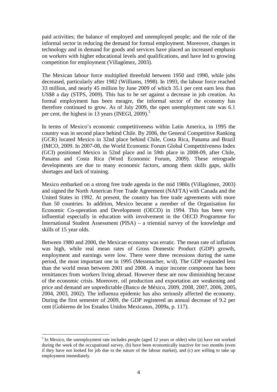paid activities; the balance of employed and unemployed people; and the role of the informal sector in reducing the demand for formal employment. Moreover, changes in technology and in demand for goods and services have placed an increased emphasis on workers with higher educational levels and qualifications, and have led to growing competition for employment (Villagómez, 2003).

The Mexican labour force multiplied threefold between 1950 and 1990, while jobs decreased, particularly after 1982 (Williams, 1998). In 1993, the labour force reached 33 million, and nearly 45 million by June 2009 of which 35.1 per cent earn less than US\$8 a day (STPS, 2009). This has to be set against a decrease in job creation. As formal employment has been meagre, the informal sector of the economy has therefore continued to grow. As of July 2009, the open unemployment rate was 6.1 per cent, the highest in 13 years (INEGI, 2009).<sup>5</sup>

In terms of Mexico's economic competitiveness within Latin America, in 1995 the country was in second place behind Chile. By 2006, the General Competitive Ranking (GCR) located Mexico in 32nd place behind Chile, Costa Rica, Panama and Brazil (IMCO, 2009. In 2007-08, the World Economic Forum Global Competitiveness Index (GCI) positioned Mexico in 52nd place and in 59th place in 2008-09, after Chile, Panama and Costa Rica (Word Economic Forum, 2009). These retrograde developments are due to many economic factors, among them skills gaps, skills shortages and lack of training.

Mexico embarked on a strong free trade agenda in the mid 1980s (Villagómez, 2003) and signed the North American Free Trade Agreement (NAFTA) with Canada and the United States in 1992. At present, the country has free trade agreements with more than 50 countries. In addition, Mexico became a member of the Organisation for Economic Co-operation and Development (OECD) in 1994. This has been very influential especially in education with involvement in the OECD Programme for International Student Assessment (PISA) – a triennial survey of the knowledge and skills of 15 year olds.

Between 1980 and 2000, the Mexican economy was erratic. The mean rate of inflation was high, while real mean rates of Gross Domestic Product (GDP) growth, employment and earnings were low. There were three recessions during the same period, the most important one in 1995 (Messmacher, w/d). The GDP expanded less than the world mean between 2001 and 2008. A major income component has been remittances from workers living abroad. However these are now diminishing because of the economic crisis. Moreover, oil production and exportation are weakening and price and demand are unpredictable (Banco de México, 2009, 2008, 2007, 2006, 2005, 2004, 2003, 2002). The influenza epidemic has also seriously affected the economy. During the first semester of 2009, the GDP registered an annual decrease of 9.2 per cent (Gobierno de los Estados Unidos Mexicanos, 2009a, p. 117).

 $<sup>5</sup>$  In Mexico, the unemployment rate includes people (aged 12 years or older) who (a) have not worked</sup> during the week of the occupational survey, (b) have been economically inactive for two months (even if they have not looked for job due to the nature of the labour market), and (c) are willing to take up employment immediately.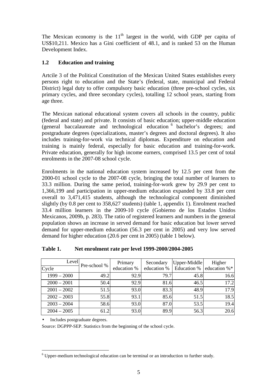The Mexican economy is the  $11<sup>th</sup>$  largest in the world, with GDP per capita of US\$10,211. Mexico has a Gini coefficient of 48.1, and is ranked 53 on the Human Development Index.

### **1.2 Education and training**

Artcile 3 of the Political Constitution of the Mexican United States establishes every persons right to education and the State's (federal, state, municipal and Federal District) legal duty to offer compulsory basic education (three pre-school cycles, six primary cycles, and three secondary cycles), totalling 12 school years, starting from age three.

The Mexican national educational system covers all schools in the country, public (federal and state) and private. It consists of basic education; upper-middle education (general baccalaureate and technological education <sup>6</sup> bachelor's degrees; and postgraduate degrees (specializations, master's degrees and doctoral degrees). It also includes training-for-work via technical diplomas. Expenditure on education and training is mainly federal, especially for basic education and training-for-work. Private education, generally for high income earners, comprised 13.5 per cent of total enrolments in the 2007-08 school cycle.

Enrolments in the national education system increased by 12.5 per cent from the 2000-01 school cycle to the 2007-08 cycle, bringing the total number of learners to 33.3 million. During the same period, training-for-work grew by 29.9 per cent to 1,366,199 and participation in upper-medium education expanded by 33.8 per cent overall to 3,471,415 students, although the technological component diminished slightly (by 0.8 per cent to 358,627 students) (table 1, appendix 1). Enrolment reached 33.4 million learners in the 2009-10 cycle (Gobierno de los Estados Unidos Mexicanos, 2009b, p. 283). The ratio of registered learners and numbers in the general population shows an increase in served demand for basic education but lower served demand for upper-medium education (56.3 per cent in 2005) and very low served demand for higher education (20.6 per cent in 2005) (table 1 below).

| Level<br>Cycle | Pre-school % | Primary<br>education % | Secondary<br>education % | Upper-Middle<br>Education % | Higher<br>education %* |
|----------------|--------------|------------------------|--------------------------|-----------------------------|------------------------|
| $1999 - 2000$  | 49.2         | 92.9                   | 79.7                     | 45.8                        | 16.6                   |
| $2000 - 2001$  | 50.4         | 92.9                   | 81.6                     | 46.5                        | 17.2                   |
| $2001 - 2002$  | 51.5         | 93.0                   | 83.3                     | 48.9                        | 17.9                   |
| $2002 - 2003$  | 55.8         | 93.1                   | 85.6                     | 51.5                        | 18.5                   |
| $2003 - 2004$  | 58.6         | 93.0                   | 87.0                     | 53.5                        | 19.4                   |
| $2004 - 2005$  | 61.2         | 93.0                   | 89.9                     | 56.3                        | 20.6                   |

**Table 1. Net enrolment rate per level 1999-2000/2004-2005** 

• Includes postgraduate degrees.

Source: DGPPP-SEP. Statistics from the beginning of the school cycle.

 6 Upper-medium technological education can be terminal or an introduction to further study.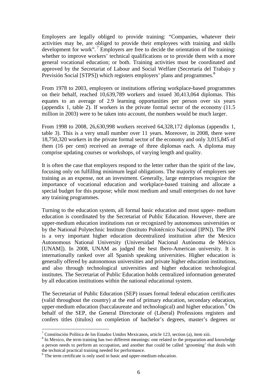Employers are legally obliged to provide training: "Companies, whatever their activities may be, are obliged to provide their employees with training and skills development for work".<sup>7</sup> Employers are free to decide the orientation of the training: whether to improve workers' technical qualifications or to provide them with a more general vocational education; or both. Training activities must be coordinated and approved by the Secretariat of Labour and Social Welfare (Secretaría del Trabajo y Previsión Social [STPS]) which registers employers' plans and programmes.<sup>8</sup>

From 1978 to 2003, employers or institutions offering workplace-based programmes on their behalf, reached 10,639,789 workers and issued 30,413,064 diplomas. This equates to an average of 2.9 learning opportunities per person over six years (appendix 1, table 2). If workers in the private formal sector of the economy (11.5 million in 2003) were to be taken into account, the numbers would be much larger.

From 1998 to 2008, 26,630,998 workers received 64,328,172 diplomas (appendix 1, table 3). This is a very small number over 11 years. Moreover, in 2008, there were 18,750,320 workers in the private formal sector of the economy and only 3,015,845 of them (16 per cent) received an average of three diplomas each. A diploma may comprise updating courses or workshops, of varying length and quality.

It is often the case that employers respond to the letter rather than the spirit of the law, focusing only on fulfilling minimum legal obligations. The majority of employers see training as an expense, not an investment. Generally, large enterprises recognize the importance of vocational education and workplace-based training and allocate a special budget for this purpose; while most medium and small enterprises do not have any training programmes.

Turning to the education system, all formal basic education and most upper- medium education is coordinated by the Secretariat of Public Education. However, there are upper-medium education institutions run or recognized by autonomous universities or by the National Polytechnic Institute (Instituto Polotécnico Nacional [IPN]). The IPN is a very important higher education decentralized institution after the Mexico Autonomous National University (Universidad Nacional Autónoma de México [UNAM]). In 2008, UNAM as judged the best Ibero-American university. It is internationally ranked over all Spanish speaking universities. Higher education is generally offered by autonomous universities and private higher education institutions, and also through technological universities and higher education technological institutes. The Secretariat of Public Education holds centralized information generated by all education institutions within the national educational system.

The Secretariat of Public Education (SEP) issues formal federal education certificates (valid throughout the country) at the end of primary education, secondary education, upper-medium education (baccalaureate and technological) and higher education.<sup>9</sup> On behalf of the SEP, the General Directorate of (Liberal) Professions registers and confers titles (titulos) on completion of bachelor's degrees, master's degrees or

 7 Constitución Política de los Estados Unidos Mexicanos, article 123, section (a), item xiii.

<sup>&</sup>lt;sup>8</sup> In Mexico, the term training has two different meanings: one related to the preparation and knowledge a person needs to perform an occupation, and another that could be called 'grooming' that deals with the technical practical training needed for performance.

<sup>&</sup>lt;sup>9</sup> The term certificate is only used in basic and upper-medium education.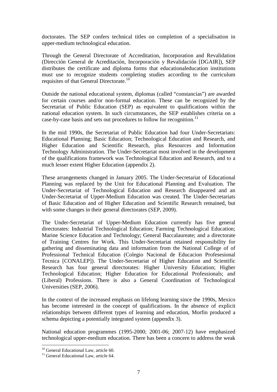doctorates. The SEP confers technical titles on completion of a specialisation in upper-medium technological education.

Through the General Directorate of Accreditation, Incorporation and Revalidation (Dirección General de Acreditación, Incorporación y Revalidación [DGAIR]), SEP distributes the certificate and diploma forms that educationaleducation institutions must use to recognize students completing studies according to the curriculum requisites of that General Directorate.<sup>10</sup>

Outside the national educational system, diplomas (called "constancias") are awarded for certain courses and/or non-formal education. These can be recognized by the Secretariat of Public Education (SEP) as equivalent to qualifications within the national education system. In such circumstances, the SEP establishes criteria on a case-by-case basis and sets out procedures to follow for recognition.<sup>11</sup>

In the mid 1990s, the Secretariat of Public Education had four Under-Secretariats: Educational Planning; Basic Education; Technological Education and Research, and Higher Education and Scientific Research, plus Resources and Information Technology Administration. The Under-Secretariat most involved in the development of the qualifications framework was Technological Education and Research, and to a much lesser extent Higher Education (appendix 2).

These arrangements changed in January 2005. The Under-Secretariat of Educational Planning was replaced by the Unit for Educational Planning and Evaluation. The Under-Secretariat of Technological Education and Research disappeared and an Under-Secretariat of Upper-Medium Education was created. The Under-Secretariats of Basic Education and of Higher Education and Scientific Research remained, but with some changes in their general directorates (SEP, 2009).

The Under-Secretariat of Upper-Medium Education currently has five general directorates: Industrial Technological Education; Farming Technological Education; Marine Science Education and Technology; General Baccalaureate; and a directorate of Training Centres for Work. This Under-Secretariat retained responsibility for gathering and disseminating data and information from the National College of of Professional Technical Education (Colegio Nacional de Educacion Profesesional Tecnica [CONALEP]). The Under-Secretariat of Higher Education and Scientific Research has four general directorates: Higher University Education; Higher Technological Education; Higher Education for Educational Professionals; and (Liberal) Professions. There is also a General Coordination of Technological Universities (SEP, 2006).

In the context of the increased emphasis on lifelong learning since the 1990s, Mexico has become interested in the concept of qualifications. In the absence of explicit relationships between different types of learning and education, Morfin produced a schema depicting a potentially integrated system (appendix 3).

National education programmes (1995-2000; 2001-06; 2007-12) have emphasized technological upper-medium education. There has been a concern to address the weak

 $\overline{a}$  $10$  General Educational Law, article 60.

<sup>&</sup>lt;sup>11</sup> General Educational Law, article 64.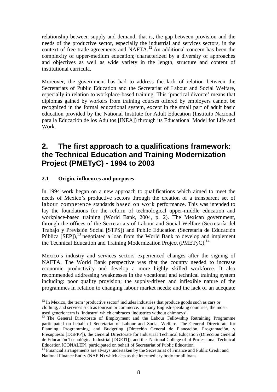relationship between supply and demand, that is, the gap between provision and the needs of the productive sector, especially the industrial and services sectors, in the context of free trade agreements and NAFTA.<sup>12</sup> An additional concern has been the complexity of upper-medium education; characterized by a diversity of approaches and objectives as well as wide variety in the length, structure and content of institutional curricula.

Moreover, the government has had to address the lack of relation between the Secretariats of Public Education and the Secretariat of Labour and Social Welfare, especially in relation to workplace-based training. This 'practical divorce' means that diplomas gained by workers from training courses offered by employers cannot be recognized in the formal educational system, except in the small part of adult basic education provided by the National Institute for Adult Education (Instituto Nacional para la Educación de los Adultos [INEA]) through its Educational Model for Life and Work.

# **2. The first approach to a qualifications framework: the Technical Education and Training Modernization Project (PMETyC) - 1994 to 2003**

### **2.1 Origin, influences and purposes**

 $\overline{a}$ 

In 1994 work began on a new approach to qualifications which aimed to meet the needs of Mexico's productive sectors through the creation of a transparent set of labour competence standards based on work performance. This was intended to lay the foundations for the reform of technological upper-middle education and workplace-based training (World Bank, 2004, p. 2). The Mexican government, through the offices of the Secretariats of Labour and Social Welfare (Secretaría del Trabajo y Previsión Social [STPS]) and Public Education (Secretaría de Educación Pública  $[SEP]$ ,<sup>13</sup> negotiated a loan from the World Bank to develop and implement the Technical Education and Training Modernization Project (PMETyC).<sup>14</sup>

Mexico's industry and services sectors experienced changes after the signing of NAFTA. The World Bank perspective was that the country needed to increase economic productivity and develop a more highly skilled workforce. It also recommended addressing weaknesses in the vocational and technical training system including: poor quality provision; the supply-driven and inflexible nature of the programmes in relation to changing labour market needs; and the lack of an adequate

 $12$  In Mexico, the term 'productive sector' includes industries that produce goods such as cars or clothing, and services such as tourism or commerce. In many English-speaking countries, the most-

used generic term is 'industry' which embraces 'industries without chimneys'.

<sup>&</sup>lt;sup>13</sup> The General Directorate of Employment and the Labour Fellowship Retraining Programme participated on behalf of Secretariat of Labour and Social Welfare. The General Directorate for Planning, Programming, and Budgeting (Direcci6n General de Planeación, Programación, y Presupuesto [DGPPP]), the General Directorate for Industrial Technical Education (Direcci6n General de Educación Tecnológica Industrial [DGETI]), and the National College of of Professional Technical Education [CONALEP], participated on behalf of Secretariat of Public Education.

 $\frac{14}{14}$  Financial arrangements are always undertaken by the Secretariat of Finance and Public Credit and National Finance Entity (NAFIN) which acts as the intermediary body for all loans.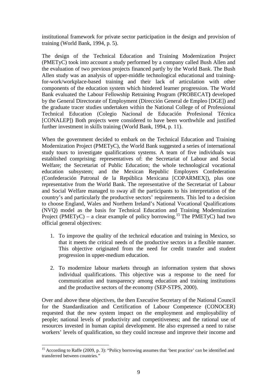institutional framework for private sector participation in the design and provision of training (World Bank, 1994, p. 5).

The design of the Technical Education and Training Modernization Project (PMETyC) took into account a study performed by a company called Bush Allen and the evaluation of two previous projects financed partly by the World Bank. The Bush Allen study was an analysis of upper-middle technological educational and trainingfor-work/workplace-based training and their lack of articulation with other components of the education system which hindered learner progression. The World Bank evaluated the Labour Fellowship Retraining Program (PROBECAT**)** developed by the General Directorate of Employment (Dirección General de Empleo [DGE]) and the graduate tracer studies undertaken within the National College of of Professional Technical Education (Colegio Nacional de Educación Profesional Técnica [CONALEP]) Both projects were considered to have been worthwhile and justified further investment in skills training (World Bank, 1994, p. 11).

When the government decided to embark on the Technical Education and Training Modernization Project (PMETyC), the World Bank suggested a series of international study tours to investigate qualifications systems. A team of five individuals was established comprising: representatives of: the Secretariat of Labour and Social Welfare; the Secretariat of Public Education; the whole technological vocational education subsystem; and the Mexican Republic Employers Confederation (Confederación Patronal de la República Mexicana [COPARMEX]), plus one representative from the World Bank. The representative of the Secretariat of Labour and Social Welfare managed to sway all the participants to his interpretation of the country's and particularly the productive sectors' requirements. This led to a decision to choose England, Wales and Northern Ireland's National Vocational Qualifications (NVQ) model as the basis for Technical Education and Training Modernization Project (PMETyC) – a clear example of policy borrowing.<sup>15</sup> The PMETyC) had two official general objectives:

- 1. To improve the quality of the technical education and training in Mexico, so that it meets the critical needs of the productive sectors in a flexible manner. This objective originated from the need for credit transfer and student progression in upper-medium education.
- 2. To modernize labour markets through an information system that shows individual qualifications. This objective was a response to the need for communication and transparency among education and training institutions and the productive sectors of the economy (SEP-STPS, 2000).

Over and above these objectives, the then Executive Secretary of the National Council for the Standardization and Certification of Labour Competence (CONOCER) requested that the new system impact on the employment and employability of people; national levels of productivity and competitiveness; and the rational use of resources invested in human capital development. He also expressed a need to raise workers' levels of qualification, so they could increase and improve their income and

 $\overline{a}$ <sup>15</sup> According to Raffe (2009, p. 3): "Policy borrowing assumes that 'best practice' can be identified and transferred between countries."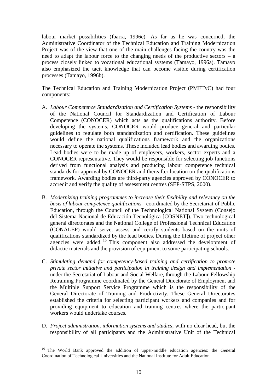labour market possibilities (Ibarra, 1996c). As far as he was concerned, the Administrative Coordinator of the Technical Education and Training Modernization Project was of the view that one of the main challenges facing the country was the need to adapt the labour force to the changing needs of the productive sectors – a process closely linked to vocational educational systems (Tamayo, 1996a). Tamayo also emphasized the tacit knowledge that can become visible during certification processes (Tamayo, 1996b).

The Technical Education and Training Modernization Project (PMETyC) had four components:

- A. *Labour Competence Standardization and Certification Systems* the responsibility of the National Council for Standardization and Certification of Labour Competence (CONOCER) which acts as the qualifications authority. Before developing the systems, CONOCER would produce general and particular guidelines to regulate both standardization and certification. These guidelines would define the national qualifications framework and the organizations necessary to operate the systems. These included lead bodies and awarding bodies. Lead bodies were to be made up of employers, workers, sector experts and a CONOCER representative. They would be responsible for selecting job functions derived from functional analysis and producing labour competence technical standards for approval by CONOCER and thereafter location on the qualifications framework. Awarding bodies are third-party agencies approved by CONOCER to accredit and verify the quality of assessment centres (SEP-STPS, 2000).
- B. *Modernizing training programmes to increase their flexibility and relevancy on the basis of labour competence qualifications* - coordinated by the Secretariat of Public Education, through the Council of the Technological National System (Consejo del Sistema Nacional de Educación Tecnológica [COSNET]). Two technological general directorates and the National College of Professional Technical Education (CONALEP) would serve, assess and certify students based on the units of qualifications standardized by the lead bodies. During the lifetime of project other agencies were added.<sup>16</sup> This component also addressed the development of didactic materials and the provision of equipment to some participating schools.
- C. *Stimulating demand for competency-based training and certification to promote private sector initiative and participation in training design and implementation* under the Secretariat of Labour and Social Welfare, through the Labour Fellowship Retraining Programme coordinated by the General Directorate of Employment and the Multiple Support Service Programme which is the responsibility of the General Directorate of Training and Productivity. These General Directorates established the criteria for selecting participant workers and companies and for providing equipment to education and training centres where the participant workers would undertake courses.
- D. *Project administration, information systems and studies*, with no clear head, but the responsibility of all participants and the Administrative Unit of the Technical

 $\overline{a}$ <sup>16</sup> The World Bank approved the addition of upper-middle education agencies: the General Coordination of Technological Universities and the National Institute for Adult Education.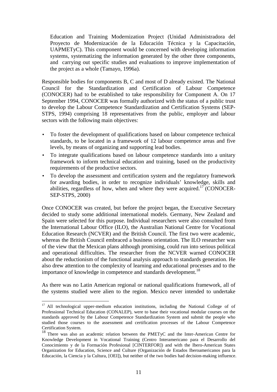Education and Training Modernization Project (Unidad Administradora del Proyecto de Modernización de la Educación Técnica y la Capacitación, UAPMETyC). This component would be concerned with developing information systems, systematizing the information generated by the other three components, and carrying out specific studies and evaluations to improve implementation of the project as a whole (Tamayo, 1996a).

Responsible bodies for components B, C and most of D already existed. The National Council for the Standardization and Certification of Labour Competence (CONOCER) had to be established to take responsibility for Component A. On 17 September 1994, CONOCER was formally authorized with the status of a public trust to develop the Labour Competence Standardization and Certification Systems (SEP-STPS, 1994) comprising 18 representatives from the public, employer and labour sectors with the following main objectives:

- To foster the development of qualifications based on labour competence technical standards, to be located in a framework of 12 labour competence areas and five levels, by means of organizing and supporting lead bodies.
- To integrate qualifications based on labour competence standards into a unitary framework to inform technical education and training, based on the productivity requirements of the productive sectors.
- To develop the assessment and certification system and the regulatory framework for awarding bodies, in order to recognize individuals' knowledge, skills and abilities, regardless of how, when and where they were acquired.<sup>17</sup> (CONOCER-SEP-STPS, 2000)

Once CONOCER was created, but before the project began, the Executive Secretary decided to study some additional international models. Germany, New Zealand and Spain were selected for this purpose. Individual researchers were also consulted from the International Labour Office (ILO), the Australian National Centre for Vocational Education Research (NCVER) and the British Council. The first two were academic, whereas the British Council embraced a business orientation. The ILO researcher was of the view that the Mexican plans although promising, could run into serious political and operational difficulties. The researcher from the NCVER warned CONOCER about the reductionism of the functional analysis approach to standards generation. He also drew attention to the complexity of learning and educational processes and to the importance of knowledge in competence and standards development.<sup>18</sup>

As there was no Latin American regional or national qualifications framework, all of the systems studied were alien to the region. Mexico never intended to undertake

<sup>&</sup>lt;sup>17</sup> All technological upper-medium education institutions, including the National College of of Professional Technical Education (CONALEP), were to base their vocational modular courses on the standards approved by the Labour Competence Standardization System and submit the people who studied those courses to the assessment and certification processes of the Labour Competence Certification System.

<sup>&</sup>lt;sup>18</sup> There was also an academic relation between the PMETyC and the Inter-American Centre for Knowledge Development in Vocational Training (Centro Interamericano para el Desarrollo del Conocimiento y de la Formación Profesional [CINTERFOR]) and with the Ibero-American States Organization for Education, Science and Culture (Organización de Estados Iberoamericanos para la Educación, la Ciencia y la Cultura, [OEI]), but neither of the two bodies had decision-making influence.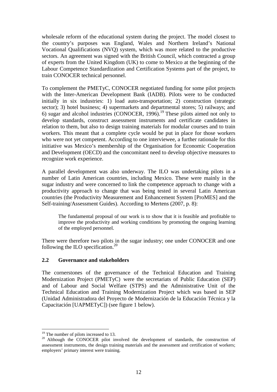wholesale reform of the educational system during the project. The model closest to the country's purposes was England, Wales and Northern Ireland's National Vocational Qualifications (NVQ) system, which was more related to the productive sectors. An agreement was signed with the British Council, which contracted a group of experts from the United Kingdom (UK) to come to Mexico at the beginning of the Labour Competence Standardization and Certification Systems part of the project, to train CONOCER technical personnel.

To complement the PMETyC, CONOCER negotiated funding for some pilot projects with the Inter-American Development Bank (IADB). Pilots were to be conducted initially in six industries: 1) load auto-transportation; 2) construction (strategic sector); 3) hotel business; 4) supermarkets and departmental stores; 5) railways; and 6) sugar and alcohol industries (CONOCER,  $1996$ ).<sup>19</sup> These pilots aimed not only to develop standards, construct assessment instruments and certificate candidates in relation to them, but also to design training materials for modular courses and to train workers. This meant that a complete cycle would be put in place for those workers who were not yet competent. According to one interviewee, a further rationale for this initiative was Mexico's membership of the Organisation for Economic Cooperation and Development (OECD) and the concomitant need to develop objective measures to recognize work experience.

A parallel development was also underway. The ILO was undertaking pilots in a number of Latin American countries, including Mexico. These were mainly in the sugar industry and were concerned to link the competence approach to change with a productivity approach to change that was being tested in several Latin American countries (the Productivity Measurement and Enhancement System [ProMES] and the Self-training/Assessment Guides). According to Mertens (2007, p. 8):

The fundamental proposal of our work is to show that it is feasible and profitable to improve the productivity and working conditions by promoting the ongoing learning of the employed personnel.

There were therefore two pilots in the sugar industry; one under CONOCER and one following the ILO specification.<sup>20</sup>

### **2.2 Governance and stakeholders**

The cornerstones of the governance of the Technical Education and Training Modernization Project (PMETyC) were the secretariats of Public Education (SEP) and of Labour and Social Welfare (STPS) and the Administrative Unit of the Technical Education and Training Modernization Project which was based in SEP (Unidad Administradora del Proyecto de Modernización de la Educación Técnica y la Capacitación [UAPMETyC]) (see figure 1 below).

<sup>&</sup>lt;sup>19</sup> The number of pilots increased to 13.

<sup>&</sup>lt;sup>20</sup> Although the CONOCER pilot involved the development of standards, the construction of assessment instruments, the design training materials and the assessment and certification of workers; employers' primary interest were training.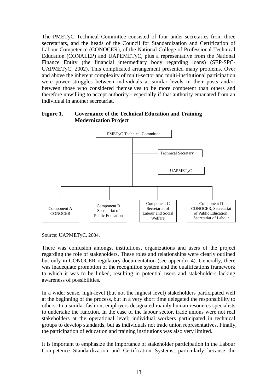The PMETyC Technical Committee consisted of four under-secretaries from three secretariats, and the heads of the Council for Standardization and Certification of Labour Competence (CONOCER), of the National College of Professional Technical Education (CONALEP) and UAPEMETyC, plus a representative from the National Finance Entity (the financial intermediary body regarding loans) (SEP-SPC-UAPMETyC, 2002). This complicated arrangement presented many problems. Over and above the inherent complexity of multi-sector and multi-institutional participation, were power struggles between individuals at similar levels in their posts and/or between those who considered themselves to be more competent than others and therefore unwilling to accept authority - especially if that authority emanated from an individual in another secretariat.

#### **Figure 1. Governance of the Technical Education and Training Modernization Project**



Source: UAPMETyC, 2004.

There was confusion amongst institutions, organizations and users of the project regarding the role of stakeholders. These roles and relationships were clearly outlined but only in CONOCER regulatory documentation (see appendix 4). Generally, there was inadequate promotion of the recognition system and the qualifications framework to which it was to be linked, resulting in potential users and stakeholders lacking awareness of possibilities.

In a wider sense, high-level (but not the highest level) stakeholders participated well at the beginning of the process, but in a very short time delegated the responsibility to others. In a similar fashion, employers designated mainly human resources specialists to undertake the function. In the case of the labour sector, trade unions were not real stakeholders at the operational level; individual workers participated in technical groups to develop standards, but as individuals not trade union representatives. Finally, the participation of education and training institutions was also very limited.

It is important to emphasize the importance of stakeholder participation in the Labour Competence Standardization and Certification Systems, particularly because the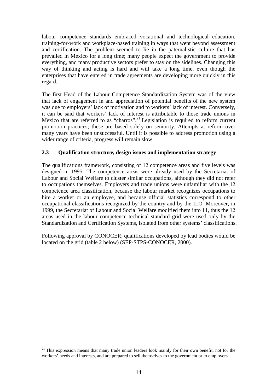labour competence standards embraced vocational and technological education, training-for-work and workplace-based training in ways that went beyond assessment and certification. The problem seemed to lie in the paternalistic culture that has prevailed in Mexico for a long time; many people expect the government to provide everything, and many productive sectors prefer to stay on the sidelines. Changing this way of thinking and acting is hard and will take a long time, even though the enterprises that have entered in trade agreements are developing more quickly in this regard.

The first Head of the Labour Competence Standardization System was of the view that lack of engagement in and appreciation of potential benefits of the new system was due to employers' lack of motivation and to workers' lack of interest. Conversely, it can be said that workers' lack of interest is attributable to those trade unions in Mexico that are referred to as "charros".<sup>21</sup> Legislation is required to reform current promotion practices; these are based solely on seniority. Attempts at reform over many years have been unsuccessful. Until it is possible to address promotion using a wider range of criteria, progress will remain slow.

#### **2.3 Qualification structure, design issues and implementation strategy**

The qualifications framework, consisting of 12 competence areas and five levels was designed in 1995. The competence areas were already used by the Secretariat of Labour and Social Welfare to cluster similar occupations, although they did not refer to occupations themselves. Employers and trade unions were unfamiliar with the 12 competence area classification, because the labour market recognizes occupations to hire a worker or an employee, and because official statistics correspond to other occupational classifications recognized by the country and by the ILO. Moreover, in 1999, the Secretariat of Labour and Social Welfare modified them into 11, thus the 12 areas used in the labour competence technical standard grid were used only by the Standardization and Certification Systems, isolated from other systems' classifications.

Following approval by CONOCER, qualifications developed by lead bodies would be located on the grid (table 2 below) (SEP-STPS-CONOCER, 2000).

 $\overline{a}$  $2<sup>1</sup>$  This expression means that many trade union leaders look mainly for their own benefit, not for the workers' needs and interests, and are prepared to sell themselves to the government or to employers.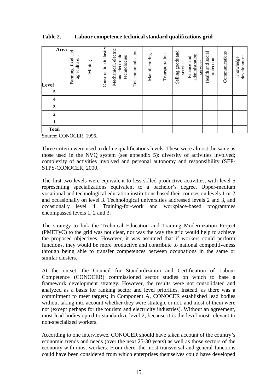### **Table 2. Labour competence technical standard qualifications grid**

| Area<br>Level             | and<br>Farming, food<br>agriculture. | Mining | Construction industry | Mechanical, electric<br>and electronic<br>technologies | Telecommunications | Manufacturing | Transportation | and<br>Selling goods<br>services | administration<br>Finance and<br>services | Health and social<br>protection | Communications | development<br>Knowledge |
|---------------------------|--------------------------------------|--------|-----------------------|--------------------------------------------------------|--------------------|---------------|----------------|----------------------------------|-------------------------------------------|---------------------------------|----------------|--------------------------|
| 5                         |                                      |        |                       |                                                        |                    |               |                |                                  |                                           |                                 |                |                          |
| $\overline{\mathbf{4}}$   |                                      |        |                       |                                                        |                    |               |                |                                  |                                           |                                 |                |                          |
| 3                         |                                      |        |                       |                                                        |                    |               |                |                                  |                                           |                                 |                |                          |
| $\boldsymbol{2}$          |                                      |        |                       |                                                        |                    |               |                |                                  |                                           |                                 |                |                          |
| $\mathbf{1}$              |                                      |        |                       |                                                        |                    |               |                |                                  |                                           |                                 |                |                          |
| <b>Total</b><br>$- - - -$ | $  -$                                |        |                       |                                                        |                    |               |                |                                  |                                           |                                 |                |                          |

Source: CONOCER, 1996.

Three criteria were used to define qualifications levels. These were almost the same as those used in the NVQ system (see appendix 5): diversity of activities involved; complexity of activities involved and personal autonomy and responsibility (SEP-STPS-CONOCER, 2000.

The first two levels were equivalent to less-sklled productive activities, with level 5 representing specializations equivalent to a bachelor's degree. Upper-medium vocational and technological education institutions based their courses on levels 1 or 2, and occasionally on level 3. Technological universities addressed levels 2 and 3, and occasionally level 4. Training-for-work and workplace-based programmes encompassed levels 1, 2 and 3.

The strategy to link the Technical Education and Training Modernization Project (PMETyC) to the grid was not clear, nor was the way the grid would help to achieve the proposed objectives. However, it was assumed that if workers could perform functions, they would be more productive and contribute to national competitiveness through being able to transfer competences between occupations in the same or similar clusters.

At the outset, the Council for Standardization and Certification of Labour Competence (CONOCER) commissioned sector studies on which to base a framework development strategy. However, the results were not consolidated and analyzed as a basis for ranking sector and level priorities. Instead, as there was a commitment to meet targets; in Component A, CONOCER established lead bodies without taking into account whether they were strategic or not, and most of them were not (except perhaps for the tourism and electricity industries). Without an agreement, most lead bodies opted to standardize level 2, because it is the level most relevant to non-specialized workers.

According to one interviewee, CONOCER should have taken account of the country's economic trends and needs (over the next 25-30 years) as well as those sectors of the economy with most workers. From there, the most transversal and general functions could have been considered from which enterprises themselves could have developed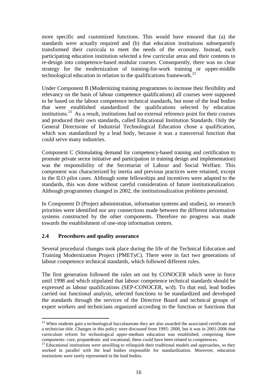more specific and customized functions. This would have ensured that (a) the standards were actually required and (b) that education institutions subsequently transformed their curricula to meet the needs of the economy. Instead, each participating education institution selected a few curricular areas and their contents to re-design into competence-based modular courses. Consequently, there was no clear strategy for the modernization of training-for-work training or upper-middle technological education in relation to the qualifications framework.<sup>22</sup>

Under Component B (Modernizing training programmes to increase their flexibility and relevancy on the basis of labour competence qualifications) all courses were supposed to be based on the labour competence technical standards, but none of the lead bodies that were established standardized the qualifications selected by education institutions.<sup>23</sup> As a result, institutions had no external reference point for their courses and produced their own standards, called Educational Institution Standards. Only the General Directorate of Industrial Technological Education chose a qualification, which was standardized by a lead body, because it was a transversal function that could serve many industries.

Component C (Stimulating demand for competency-based training and certification to promote private sector initiative and participation in training design and implementation) was the responsibility of the Secretariat of Labour and Social Welfare. This component was characterized by inertia and previous practices were retained, except in the ILO pilot cases. Although some fellowships and incentives were adapted to the standards, this was done without careful consideration of future institutionalization. Although programmes changed in 2002, the institutionalization problems persisted.

In Component D (Project administration, information systems and studies), no research priorities were identified nor any connections made between the different information systems constructed by the other components. Therefore no progress was made towards the establishment of one-stop information centres.

### **2.4 Procedures and quality assurance**

 $\overline{a}$ 

Several procedural changes took place during the life of the Technical Education and Training Modernization Project (PMETyC). There were in fact two generations of labour competence technical standards, which followed different rules.

The first generation followed the rules set out by CONOCER which were in force until 1998 and which stipulated that labour competence technical standards should be expressed as labour qualifications (SEP-CONOCER, w/d). To that end, lead bodies carried out functional analysis, selected functions to be standardized and developed the standards through the services of the Directive Board and technical groups of expert workers and technicians organized according to the function or functions that

<sup>&</sup>lt;sup>22</sup> When students gain a technological baccalaureate they are also awarded the associated certificate and a technician title. Changes in this policy were discussed from 1995- 2000, but it was in 2001-2006 that curriculum reform for technological upper-medium education was established, comprising three components: core, propaedeutic and vocational; these could have been related to competences.

<sup>&</sup>lt;sup>23</sup> Educational institutions were unwilling to relinquish their traditional models and approaches, so they worked in parallel with the lead bodies responsible for standardization. Moreover, education institutions were rarely represented in the lead bodies.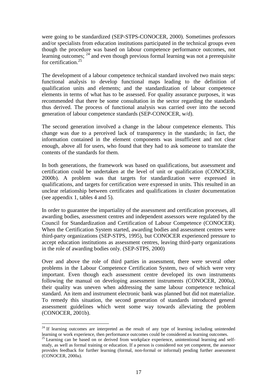were going to be standardized (SEP-STPS-CONOCER, 2000). Sometimes professors and/or specialists from education institutions participated in the technical groups even though the procedure was based on labour competence performance outcomes, not learning outcomes; <sup>24</sup> and even though previous formal learning was not a prerequisite for certification.<sup>25</sup>

The development of a labour competence technical standard involved two main steps: functional analysis to develop functional maps leading to the definition of qualification units and elements; and the standardization of labour competence elements in terms of what has to be assessed. For quality assurance purposes, it was recommended that there be some consultation in the sector regarding the standards thus derived. The process of functional analysis was carried over into the second generation of labour competence standards (SEP-CONOCER, w/d).

The second generation involved a change in the labour competence elements. This change was due to a perceived lack of transparency in the standards; in fact, the information contained in the element components was insufficient and not clear enough, above all for users, who found that they had to ask someone to translate the contents of the standards for them.

In both generations, the framework was based on qualifications, but assessment and certification could be undertaken at the level of unit or qualification (CONOCER, 2000b). A problem was that targets for standardization were expressed in qualifications, and targets for certification were expressed in units. This resulted in an unclear relationship between certificates and qualifications in cluster documentation (see appendix 1, tables 4 and 5).

In order to guarantee the impartiality of the assessment and certification processes, all awarding bodies, assessment centres and independent assessors were regulated by the Council for Standardization and Certification of Labour Competence (CONOCER). When the Certification System started, awarding bodies and assessment centres were third-party organizations (SEP-STPS, 1995), but CONOCER experienced pressure to accept education institutions as assessment centres, leaving third-party organizations in the role of awarding bodies only. (SEP-STPS, 2000)

Over and above the role of third parties in assessment, there were several other problems in the Labour Competence Certification System, two of which were very important. Even though each assessment centre developed its own instruments following the manual on developing assessment instruments (CONOCER, 2000a), their quality was uneven when addressing the same labour competence technical standard. An item and instrument electronic bank was planned but did not materialize. To remedy this situation, the second generation of standards introduced general assessment guidelines which went some way towards alleviating the problem (CONOCER, 2001b).

 $24$  If learning outcomes are interpreted as the result of any type of learning including unintended learning or work experience, then performance outcomes could be considered as learning outcomes.

 $25$  Learning can be based on or derived from workplace experience, unintentional learning and selfstudy, as well as formal training or education. If a person is considered not yet competent, the assessor provides feedback for further learning (formal, non-formal or informal) pending further assessment (CONOCER, 2000a).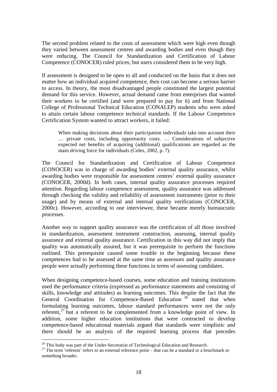The second problem related to the costs of assessment which were high even though they varied between assessment centres and awarding bodies and even though they were reducing. The Council for Standardization and Certification of Labour Competence (CONOCER) ruled prices; but users considered them to be very high.

If assessment is designed to be open to all and conducted on the basis that it does not matter how an individual acquired competence, then cost can become a serious barrier to access. In theory, the most disadvantaged people constituted the largest potential demand for this service. However, actual demand came from enterprises that wanted their workers to be certified (and were prepared to pay for it) and from National College of Professional Technical Education (CONALEP) students who were asked to attain certain labour competence technical standards. If the Labour Competence Certification System wanted to attract workers, it failed:

When making decisions about their participation individuals take into account their … private costs, including opportunity costs. … Considerations of subjective expected net benefits of acquiring (additional) qualifications are regarded as the main driving force for individuals (Coles, 2002, p. 7).

The Council for Standardization and Certification of Labour Competence (CONOCER) was in charge of awarding bodies' external quality assurance, whilst awarding bodies were responsible for assessment centres' external quality assurance (CONOCER, 2000d). In both cases, internal quality assurance processes required attention. Regarding labour competence assessment, quality assurance was addressed through checking the validity and reliability of assessment instruments (prior to their usage) and by means of external and internal quality verifications (CONOCER, 2000c). However, according to one interviewee, these became merely bureaucratic processes.

Another way to support quality assurance was the certification of all those involved in standardization, assessment instrument construction, assessing, internal quality assurance and external quality assurance. Certification in this way did not imply that quality was automatically assured, but it was prerequisite to perform the functions outlined. This prerequisite caused some trouble in the beginning because these competences had to be assessed at the same time as assessors and quality assurance people were actually performing these functions in terms of assessing candidates.

When designing competence-based courses, some education and training institutions used the performance criteria (expressed as performance statements and consisting of skills, knowledge and attitudes) as learning outcomes. This despite the fact that the General Coordination for Competence-Based Education<sup>26</sup> stated that when formulating learning outcomes, labour standard performances were not the only referent,<sup>27</sup> but a referent to be complemented from a knowledge point of view. In addition, some higher education institutions that were contracted to develop competence-based educational materials argued that standards were simplistic and there should be an analysis of the required learning process that precedes

<sup>&</sup>lt;sup>26</sup> This body was part of the Under-Secretariat of Technological Education and Research.

<sup>&</sup>lt;sup>27</sup> The term 'referent' refers to an external reference point – that can be a standard or a benchmark or something broader.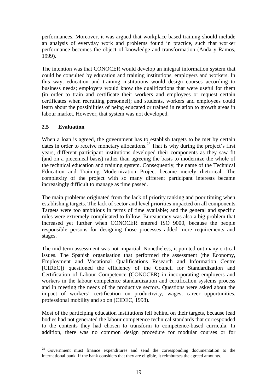performances. Moreover, it was argued that workplace-based training should include an analysis of everyday work and problems found in practice, such that worker performance becomes the object of knowledge and transformation (Anda y Ramos, 1999).

The intention was that CONOCER would develop an integral information system that could be consulted by education and training institutions, employers and workers. In this way, education and training institutions would design courses according to business needs; employers would know the qualifications that were useful for them (in order to train and certificate their workers and employees or request certain certificates when recruiting personnel); and students, workers and employees could learn about the possibilities of being educated or trained in relation to growth areas in labour market. However, that system was not developed.

### **2.5 Evaluation**

When a loan is agreed, the government has to establish targets to be met by certain dates in order to receive monetary allocations.<sup>28</sup> That is why during the project's first years, different participant institutions developed their components as they saw fit (and on a piecemeal basis) rather than agreeing the basis to modernize the whole of the technical education and training system. Consequently, the name of the Technical Education and Training Modernization Project became merely rhetorical. The complexity of the project with so many different participant interests became increasingly difficult to manage as time passed.

The main problems originated from the lack of priority ranking and poor timing when establishing targets. The lack of sector and level priorities impacted on all components. Targets were too ambitious in terms of time available; and the general and specific rules were extremely complicated to follow. Bureaucracy was also a big problem that increased yet further when CONOCER entered ISO 9000, because the people responsible persons for designing those processes added more requirements and stages.

The mid-term assessment was not impartial. Nonetheless, it pointed out many critical issues. The Spanish organisation that performed the assessment (the Economy, Employment and Vocational Qualifications Research and Information Centre [CIDEC]) questioned the efficiency of the Council for Standardization and Certification of Labour Competence (CONOCER) in incorporating employers and workers in the labour competence standardization and certification systems process and in meeting the needs of the productive sectors. Questions were asked about the impact of workers' certification on productivity, wages, career opportunities, professional mobility and so on (CIDEC, 1998).

Most of the participing education institutions fell behind on their targets, because lead bodies had not generated the labour competence technical standards that corresponded to the contents they had chosen to transform to competence-based curricula. In addition, there was no common design procedure for modular courses or for

 $\overline{a}$  $28$  Government must finance expenditures and send the corresponding documentation to the international bank. If the bank considers that they are eligible, it reimburses the agreed amounts.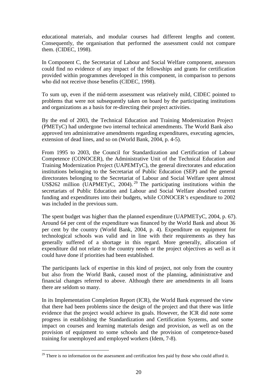educational materials, and modular courses had different lengths and content. Consequently, the organisation that performed the assessment could not compare them. (CIDEC, 1998).

In Component C, the Secretariat of Labour and Social Welfare component, assessors could find no evidence of any impact of the fellowships and grants for certification provided within programmes developed in this component, in comparison to persons who did not receive those benefits (CIDEC, 1998).

To sum up, even if the mid-term assessment was relatively mild, CIDEC pointed to problems that were not subsequently taken on board by the participating institutions and organizations as a basis for re-directing their project activities.

By the end of 2003, the Technical Education and Training Modernization Project (PMETyC) had undergone two internal technical amendments. The World Bank also approved ten administrative amendments regarding expenditures, executing agencies, extension of dead lines, and so on (World Bank, 2004, p. 4-5).

From 1995 to 2003, the Council for Standardization and Certification of Labour Competence (CONOCER), the Administrative Unit of the Technical Education and Training Modernization Project (UAPEMTyC), the general directorates and education institutions belonging to the Secretariat of Public Education (SEP) and the general directorates belonging to the Secretariat of Labour and Social Welfare spent almost US\$262 million (UAPMETyC, 2004).<sup>29</sup> The participating institutions within the secretariats of Public Education and Labour and Social Welfare absorbed current funding and expenditures into their budgets, while CONOCER's expenditure to 2002 was included in the previous sum.

The spent budget was higher than the planned expenditure (UAPMETyC, 2004, p. 67). Around 64 per cent of the expenditure was financed by the World Bank and about 36 per cent by the country (World Bank, 2004, p. 4). Expenditure on equipment for technological schools was valid and in line with their requirements as they has generally suffered of a shortage in this regard. More generally, allocation of expenditure did not relate to the country needs or the project objectives as well as it could have done if priorities had been established.

The participants lack of expertise in this kind of project, not only from the country but also from the World Bank, caused most of the planning, administrative and financial changes referred to above. Although there are amendments in all loans there are seldom so many.

In its Implementation Completion Report (ICR), the World Bank expressed the view that there had been problems since the design of the project and that there was little evidence that the project would achieve its goals. However, the ICR did note some progress in establishing the Standardization and Certification Systems, and some impact on courses and learning materials design and provision, as well as on the provision of equipment to some schools and the provision of competence-based training for unemployed and employed workers (Idem, 7-8).

 $29$  There is no information on the assessment and certification fees paid by those who could afford it.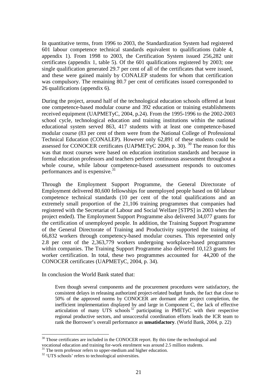In quantitative terms, from 1996 to 2003, the Standardization System had registered 601 labour competence technical standards equivalent to qualifications (table 4, appendix 1). From 1998 to 2003, the Certification System issued 256,282 unit certificates (appendix 1, table 5). Of the 601 qualifications registered by 2003; one single qualification generated 29.7 per cent of all of the certificates that were issued, and these were gained mainly by CONALEP students for whom that certification was compulsory. The remaining 80.7 per cent of certificates issued corresponded to 26 qualifications (appendix 6).

During the project, around half of the technological education schools offered at least one competence-based modular course and 392 education or training establishments received equipment (UAPMETyC, 2004, p.24). From the 1995-1996 to the 2002-2003 school cycle, technological education and training institutions within the national educational system served 863, 417 students with at least one competence-based modular course (83 per cent of them were from the National College of Professional Technical Education (CONALEP). However only 62,891 of these students could be assessed for CONOCER certificates (UAPMETyC 2004, p. 30).  $30$  The reason for this was that most courses were based on education institution standards and because in formal education professors and teachers perform continuous assessment throughout a whole course, while labour competence-based assessment responds to outcomes performances and is expensive. $31$ 

Through the Employment Support Programme, the General Directorate of Employment delivered 80,600 fellowships for unemployed people based on 60 labour competence technical standards (10 per cent of the total qualifications and an extremely small proportion of the 21,106 training programmes that companies had registered with the Secretariat of Labour and Social Welfare [STPS] in 2003 when the project ended). The Employment Support Programme also delivered 34,077 grants for the certification of unemployed people. In addition, the Training Support Programme of the General Directorate of Training and Productivity supported the training of 66,832 workers through competency-based modular courses. This represented only 2.8 per cent of the 2,363,779 workers undergoing workplace-based programmes within companies. The Training Support Programme also delivered 10,123 grants for worker certification. In total, these two programmes accounted for 44,200 of the CONOCER certificates (UAPMETyC, 2004, p. 34).

In conclusion the World Bank stated that:

Even though several components and the procurement procedures were satisfactory, the consistent delays in releasing authorized project-related budget funds, the fact that close to 50% of the approved norms by CONOCER are dormant after project completion, the inefficient implementation displayed by and large in Component C, the lack of effective articulation of many UTS schools <sup>32</sup> participating in PMETyC with their respective regional productive sectors, and unsuccessful coordination efforts leads the ICR team to rank the Borrower's overall performance as **unsatisfactory**. (World Bank, 2004, p. 22)

 $30$  Those certificates are included in the CONOCER report. By this time the technological and vocational education and training for-work enrolment was around 2.5 million students.

 $31$  The term professor refers to upper-medium and higher education.

<sup>&</sup>lt;sup>32</sup> 'UTS schools' refers to technological universities.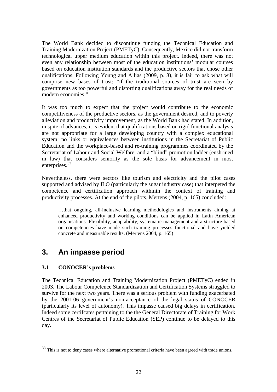The World Bank decided to discontinue funding the Technical Education and Training Modernization Project (PMETyC). Consequently, Mexico did not transform technological upper medium education within this project. Indeed, there was not even any relationship between most of the education institutions' modular courses based on education institution standards and the productive sectors that chose other qualifications. Following Young and Allias (2009, p. 8), it is fair to ask what will comprise new bases of trust: "if the traditional sources of trust are seen by governments as too powerful and distorting qualifications away for the real needs of modern economies."

It was too much to expect that the project would contribute to the economic competitiveness of the productive sectors, as the government desired, and to poverty alleviation and productivity improvement, as the World Bank had stated. In addition, in spite of advances, it is evident that qualifications based on rigid functional analysis are not appropriate for a large developing country with a complex educational system; no links or equivalences between institutions in the Secretariat of Public Education and the workplace-based and re-training programmes coordinated by the Secretariat of Labour and Social Welfare; and a "blind" promotion ladder (enshrined in law) that considers seniority as the sole basis for advancement in most enterprises.<sup>33</sup>

Nevertheless, there were sectors like tourism and electricity and the pilot cases supported and advised by ILO (particularly the sugar industry case) that interpeted the competence and certification approach withinin the context of training and productivity processes. At the end of the pilots, Mertens (2004, p. 165) concluded:

…that ongoing, all-inclusive learning methodologies and instruments aiming at enhanced productivity and working conditions can be applied in Latin American organisations. Flexibility, adaptability, systematic management and a structure based on competencies have made such training processes functional and have yielded concrete and measurable results. (Mertens 2004, p. 165)

# **3. An impasse period**

### **3.1 CONOCER's problems**

 $\overline{a}$ 

The Technical Education and Training Modernization Project (PMETyC) ended in 2003. The Labour Competence Standardization and Certification Systems struggled to survive for the next two years. There was a serious problem with funding exacerbated by the 2001-06 government's non-acceptance of the legal status of CONOCER (particularly its level of autonomy). This impasse caused big delays in certification. Indeed some certifcates pertaining to the the General Directorate of Training for Work Centres of the Secretariat of Public Education (SEP) continue to be delayed to this day.

 $33$  This is not to deny cases where alternative promotional criteria have been agreed with trade unions.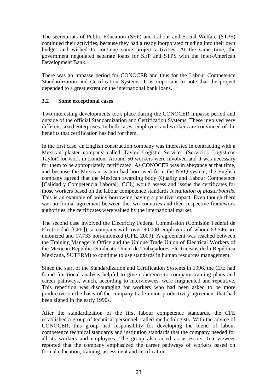The secretariats of Public Education (SEP) and Labour and Social Welfare (STPS) continued their activities, because they had already inorporated funding into their own budget and wished to continue some project activities. At the same time, the government negotiated separate loans for SEP and STPS with the Inter-American Development Bank.

There was an impasse period for CONOCER and thus for the Labour Competence Standardization and Certification Systems. It is important to note that the project depended to a great extent on the international bank loans.

### **3.2 Some exceptional cases**

Two interesting developments took place during the CONOCER impasse period and outside of the official Standardization and Certification Systems. These involved very different sized enterprises. In both cases, employers and workers are convinced of the benefits that certification has had for them.

In the first case, an English construction company was interested in contracting with a Mexican plaster company called Taylor Logistic Services (Servicios Logísticos Taylor) for work in London. Around 50 workers were involved and it was necessary for them to be appropriately certificated. As CONOCER was in abeyance at that time, and because the Mexican system had borrowed from the NVQ system, the English company agreed that the Mexican awarding body (Quality and Labour Competence [Calidad y Competencia Laboral], CCL) would assess and isssue the certificates for those workers based on the labour competence standards *Installation of plasterboards*. This is an example of policy borrowing having a positive impact. Even though there was no formal agreement between the two countries and their respective framework authorities, the certificates were valued by the international market.

The second case involved the Electricity Federal Commission (Comisión Federal de Electricidad [CFE]), a company with over 90,000 employers of whom 63,546 are unionized and 17,733 non-unionzed (CFE, 2009). A agreement was reached between the Training Manager's Office and the Unique Trade Union of Electrical Workers of the Mexican Republic (Sindicato Único de Trabajadores Electricistas de la República Mexicana, SUTERM) to continue to use standards in human resources management.

Since the start of the Standardization and Certification Systems in 1996, the CFE had found functional analysis helpful to give coherence to company training plans and career pathways, which, according to interviewees, were fragmented and repetitive. This repetition was discouraging for workers who had been asked to be more productive on the basis of the company-trade union productivity agreement that had been signed in the early 1990s.

After the standardization of the first labour competence standards, the CFE established a group of technical personnel, called methodologists. With the advice of CONOCER, this group had responsiblity for developing the blend of labour competence technical standards and institution standards that the company needed for all its workers and employees. The group also acted as assessors. Interviewees reported that the company emphasized the career pathways of workers based on formal education, training, assessment and certification.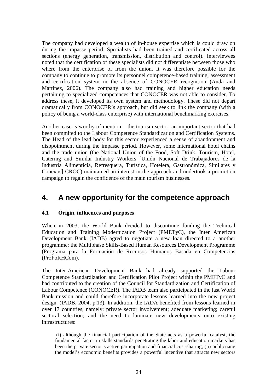The company had developed a wealth of in-house expertise which is could draw on during the impasse period. Specialists had been trained and certificated across all sections (energy generation, transmission, distribution and control). Interviewees noted that the certification of these specialists did not differentiate between those who where from the enterprise of from the union. It was therefore possible for the company to continue to promote its personnel competence-based training, assessment and certification system in the absence of CONOCER recognition (Anda and Martinez, 2006). The company also had training and higher education needs pertaining to specialized competences that CONOCER was not able to consider. To address these, it developed its own system and methodology. These did not depart dramatically from CONOCER's approach, but did seek to link the company (with a policy of being a world-class enterprise) with international benchmarking exercises.

Another case is worthy of mention – the tourism sector, an important sector that had been commited to the Labour Competence Standardization and Certification Systems. The Head of the lead body for this sector experienced a sense of abandonment and disppointment during the impasse period. However, some international hotel chains and the trade union (the National Union of the Food, Soft Drink, Tourism, Hotel, Catering and Similar Industry Workers [Unión Nacional de Trabajadores de la Industria Alimenticia, Refresquera, Turística, Hotelera, Gastronómica, Similares y Conexos] CROC) maintained an interest in the approach and undertook a promotion campaign to regain the confidence of the main tourism businesses.

# **4. A new opportunity for the competence approach**

### **4.1 Origin, influences and purposes**

When in 2003, the World Bank decided to discontinue funding the Technical Education and Training Modernization Project (PMETyC), the Inter American Development Bank (IADB) agred to negotiate a new loan directed to a another programme: the Multiphase Skills-Based Human Resources Development Programme (Programa para la Formación de Recursos Humanos Basada en Competencias (ProFoRHCom).

The Inter-American Development Bank had already supported the Labour Competence Standardization and Certification Pilot Project within the PMETyC and had contributed to the creation of the Council for Standardization and Certification of Labour Competence (CONOCER). The IADB team also participated in the last World Bank mission and could therefore incorporate lessons learned into the new project design. (IADB, 2004, p.13). In addition, the IADA benefited from lessons learned in over 17 countries, namely: private sector involvement; adequate marketing; careful sectoral selection; and the need to laminate new developments onto existing infrastructures:

 (i) although the financial participation of the State acts as a powerful catalyst, the fundamental factor in skills standards penetrating the labor and education markets has been the private sector's active participation and financial cost-sharing; (ii) publicizing the model's economic benefits provides a powerful incentive that attracts new sectors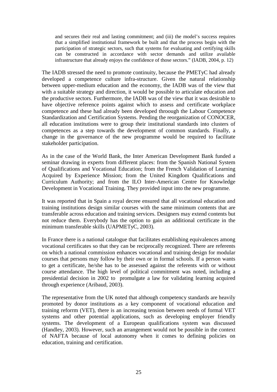and secures their real and lasting commitment; and (iii) the model's success requires that a simplified institutional framework be built and that the process begin with the participation of strategic sectors, such that systems for evaluating and certifying skills can be constructed in accordance with sector demands and utilize available infrastructure that already enjoys the confidence of those sectors." (IADB, 2004, p. 12)

The IADB stressed the need to promote continuity, because the PMETyC had already developed a competence culture infra-structure. Given the natural relationship between upper-medium education and the economy, the IADB was of the view that with a suitable strategy and direction, it would be possible to articulate education and the productive sectors. Furthermore, the IADB was of the view that it was desirable to have objective reference points against which to assess and certificate workplace competence and these had already been developed throough the Labour Competence Standardization and Certification Systems. Pending the reorganization of CONOCER, all education institutions were to group their institutional standards into clusters of competences as a step towards the development of common standards. Finally, a change in the governance of the new programme would be required to facilitate stakeholder participation.

As in the case of the World Bank, the Inter American Development Bank funded a seminar drawing in experts from different places: from the Spanish National System of Qualifications and Vocational Education; from the French Validation of Learning Acquired by Experience Mission; from the United Kingdom Qualifications and Curriculum Authority; and from the ILO Inter-American Centre for Knowledge Development in Vocational Training. They provided input into the new programme.

It was reported that in Spain a royal decree ensured that all vocational education and training institutions design similar courses with the same minimum contents that are transferable across education and training services. Designers may extend contents but not reduce them. Everybody has the option to gain an additional certificate in the minimum transferable skills (UAPMETyC, 2003).

In France there is a national catalogue that facilitates establishing equivalences among vocational certificates so that they can be reciprocally recognized. There are referents on which a national commission enhances vocational and training design for modular courses that persons may follow by their own or in formal schools. If a person wants to get a certificate, he/she has to be assessed against the referents with or without course attendance. The high level of political commitment was noted, including a presidential decision in 2002 to promulgate a law for validating learning acquired through experience (Aribaud, 2003).

The representative from the UK noted that although competency standards are heavily promoted by donor institutions as a key component of vocational education and training reforrm (VET), there is an increasing tension between needs of formal VET systems and other potential applications, such as developing employer friendly systems. The development of a European qualifications system was discussed (Handley, 2003). However, such an arrangement would not be possible in the context of NAFTA because of local autonomy when it comes to defining policies on education, training and certification.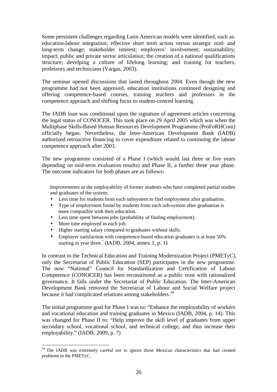Some persistent challenges regarding Latin American models were identified, such as: education-labour integration; effective short term action versus strategic mid- and long-term change; stakeholder interest; employers' involvement; sustainability; impact; public and private sector articulation; the creation of a national qualifications structure; develping a culture of lifelong learning; and training for teachers, professors and technicians (Vargas, 2003).

The seminar opened discussions that lasted throughout 2004. Even though the new programme had not been approved, education institutions continued designing and offering competence-based courses, training teachers and professors in the competence approach and shifting focus to student-centred learning.

The IADB loan was conditional upon the signature of agreement articles concerning the legal status of CONOCER. This took place on 29 April 2005 which was when the Multiphase Skills-Based Human Resources Development Programme (ProFoRHCom) officially began. Nevertheless, the Inter-American Development Bank (IADB) authorized retroactive financing to cover expenditure related to continuing the labour competence approach after 2003.

The new programme consisted of a Phase I (which would last three or five years depending on mid-term evaluation results) and Phase II, a further three year phase. The outcome indicators for both phases are as follows:

Improvements in the employability of former students who have completed partial studies and graduates of the system:

- Less time for students from each subsystem to find employment after graduation.
- Type of employment found by students from each sub-system after graduation is more compatible with their education.
- Less time spent between jobs (probability of finding employment).
- More time employed in each job.
- Higher starting salary compared to graduates without skills.
- Employer satisfaction with competence-based education graduates is at least 50% starting in year three." (IADB, 2004, annex 1, p. 1)

In contrast to the Technical Education and Training Modernization Project (PMETyC), only the Secretariat of Public Education (SEP) participates in the new programme. The now "National" Council for Standardization and Certification of Labour Competence (CONOCER) has been reconstituted as a public trust with rationalized governance. It falls under the Secretariat of Public Education. The Inter-American Development Bank removed the Secretariat of Labour and Social Welfare project because it had complicated relations among stakeholders.<sup>34</sup>

The initial programme goal for Phase I was to: "Enhance the employability of workers and vocational education and training graduates in Mexico (IADB, 2004, p. 14). This was changed for Phase II to: "Help improve the skill level of graduates from upper secondary school, vocational school, and technical college, and thus increase their employability." (IADB, 2009, p. 7)

 $\overline{a}$  $34$  The IADB was extremely careful not to ignore those Mexican characteristics that had created problems in the PMETyC.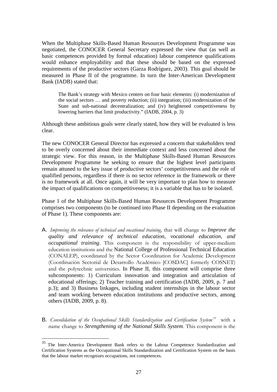When the Multiphase Skills-Based Human Resources Development Programme was negotiated, the CONOCER General Secretary expressed the view that (as well as basic competences provided by formal education) labour competence qualifications would enhance employability and that these should be based on the expressed requirements of the productive sectors (Garza Rodríguez, 2003). This goal should be measured in Phase II of the programme. In turn the Inter-American Development Bank (IADB) stated that:

The Bank's strategy with Mexico centers on four basic elements: (i) modernization of the social sectors … and poverty reduction; (ii) integration; (iii) modernization of the State and sub-national decentralization; and (iv) heightened competitiveness by lowering barriers that limit productivity." (IADB, 2004, p. 3)

Although these ambitious goals were clearly stated, how they will be evaluated is less clear.

The new CONOCER General Director has expressed a concern that stakeholders tend to be overly concerned about their immediate context and less concerned about the strategic view. For this reason, in the Multiphase Skills-Based Human Resources Development Programme he seeking to ensure that the highest level participants remain attuned to the key issue of productive sectors' competitiveness and the role of qualified persons, regardless if there is no sector reference in the framework or there is no framework at all. Once again, it will be very important to plan how to measure the impact of qualifications on competitiveness; it is a variable that has to be isolated.

Phase 1 of the Multiphase Skills-Based Human Resources Development Programme comprises two components (to be continued into Phase II depending on the evaluation of Phase 1). These components are:

- A. *Improving the relevance of technical and vocational training*, that will change to *Improve the quality and relevance of technical education, vocational education, and occupational training*. This component is the responsibility of upper-medium education institutions and the National College of Professional Technical Education (CONALEP), coordinated by the Sector Coordination for Academic Development (Coordinación Sectorial de Desarrollo Académico [COSDAC] formerly COSNET) and the polytechnic universities. In Phase II, this component will comprise three subcomponents: 1) Curriculum innovation and integration and articulation of educational offerings; 2) Teacher training and certification (IADB, 2009, p. 7 and p.3); and 3) Business linkages, including student internships in the labour sector and team working between education institutions and productive sectors, among others (IADB, 2009, p. 8).
- B. *Consolidation of the Occupational Skills Standardization and Certification System<sup>35</sup>* with a name change to *Strengthening of the National Skills System*. This component is the

<sup>&</sup>lt;sup>35</sup> The Inter-America Development Bank refers to the Labour Competence Standardization and Certification Systems as the Occupational Skills Standardization and Certification System on the basis that the labour market recognizes occupations, not competences.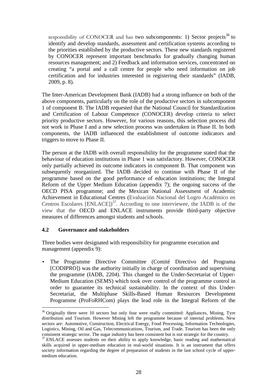responsibility of CONOCER and has two subcomponents: 1) Sector projects<sup>36</sup> to identify and develop standards, assessment and certification systems according to the priorities established by the productive sectors. These new standards registered by CONOCER represent important benchmarks for gradually changing human resources management; and 2) Feedback and information services, concentrated on creating "a portal and a call centre for people who need information on job certification and for industries interested in registering their standards" (IADB, 2009, p. 8).

The Inter-American Development Bank (IADB) had a strong influence on both of the above components, particularly on the role of the productive sectors in subcomponent 1 of component B. The IADB requested that the National Council for Standardization and Certification of Labour Competence (CONOCER) develop criteria to select priority productive sectors. However, for various reasons, this selection process did not work in Phase I and a new selection process was undertaken in Phase II. In both components, the IADB influenced the establishment of outcome indicators and triggers to move to Phase II.

The person at the IADB with overall responsibility for the programme stated that the behaviour of education institutions in Phase 1 was satisfactory. However, CONOCER only partially achieved its outcome indicators in component B. That component was subsequently reorganized. The IADB decided to continue with Phase II of the programme based on the good performance of education institutions; the Integral Reform of the Upper Medium Education (appendix 7); the ongoing success of the OECD PISA programme; and the Mexican National Assessment of Academic Achievement in Educational Centres (Evaluación Nacional del Logro Académico en Centros Escolares  $[ENLACE]$ <sup>37</sup>. According to one interviewee, the IADB is of the view that the OECD and ENLACE instruments provide third-party objective measures of differences amongst students and schools.

#### **4.2 Governance and stakeholders**

Three bodies were designated with responsibility for programme execution and management (appendix 9):

• The Programme Directive Committee (Comité Directivo del Programa [CODIPRO]) was the authority initially in charge of coordination and supervising the programme (IADB, 2204). This changed to the Under-Secretariat of Upper-Medium Education (SEMS) which took over control of the programme control in order to guarantee its technical sustainability. In the context of this Under-Secretariat, the Multiphase Skills-Based Human Resources Development Programme (ProFoRHCom) plays the lead role in the Integral Reform of the

 $\overline{a}$ <sup>36</sup> Originally there were 10 sectors but only four were really committed: Appliances, Mining, Tyre distribution and Tourism. However Mining left the programme because of internal problems. New sectors are: Automotive, Construction, Electrical Energy, Food Processing, Information Technologies, Logistics, Mining, Oil and Gas, Telecommunications, Tourism, and Trade. Tourism has been the only consistent strategic sector. The sugar industry has been consistent but is not strategic for the country.

<sup>&</sup>lt;sup>37</sup> ENLACE assesses students on their ability to apply knowledge, basic reading and mathematical skills acquired in upper-medium education in real-world situations. It is an instrument that offers society information regarding the degree of preparation of students in the last school cycle of uppermedium education.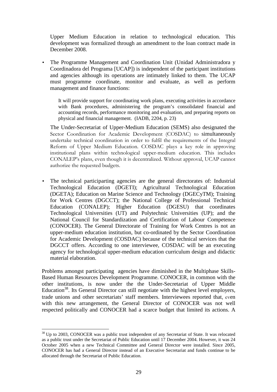Upper Medium Education in relation to technological education. This development was formalized through an amendment to the loan contract made in December 2008.

• The Programme Management and Coordination Unit (Unidad Administradora y Coordinadora del Programa [UCAP]) is independent of the participant institutions and agencies although its operations are intimately linked to them. The UCAP must programme coordinate, monitor and evaluate, as well as perform management and finance functions:

It will provide support for coordinating work plans, executing activities in accordance with Bank procedures, administering the program's consolidated financial and accounting records, performance monitoring and evaluation, and preparing reports on physical and financial management. (IADB, 2204, p. 23)

The Under-Secretariat of Upper-Medium Education (SEMS) also designated the Sector Coordination for Academic Development (COSDAC) to simultaneously undertake technical coordination in order to fulfil the requirements of the Integral Reform of Upper Medium Education. COSDAC plays a key role in approving institutional plans within technological upper-medium education. This includes CONALEP's plans, even though it is decentralized. Without approval, UCAP cannot authorize the requested budgets.

• The technical participarting agencies are the general directorates of: Industrial Technological Education (DGETI); Agricultural Technological Education (DGETA); Education on Marine Science and Technology (DGECyTM); Training for Work Centres (DGCCT); the National College of Professional Technical Education (CONALEP); Higher Education (DGESU) that coordinates Technological Universities (UT) and Polytechnic Universities (UP); and the National Council for Standardization and Certification of Labour Competence (CONOCER). The General Directorate of Training for Work Centres is not an upper-medium education institution, but co-ordinated by the Sector Coordination for Academic Development (COSDAC) because of the technical services that the DGCCT offers. According to one interviewee, COSDAC will be an executing agency for technological upper-medium education curriculum design and didactic material elaboration.

Problems amongst participating agencies have diminished in the Multiphase Skills-Based Human Resources Development Programme. CONOCER, in common with the other institutions, is now under the the Under-Secretariat of Upper Middle Education<sup>38</sup>. Its General Director can still negotiate with the highest level employers, trade unions and other secretariats' staff members. Interviewees reported that, even with this new arrangement, the General Director of CONOCER was not well respected politically and CONOCER had a scarce budget that limited its actions. A

 $\overline{a}$  $38$  Up to 2003, CONOCER was a public trust independent of any Secretariat of State. It was relocated as a public trust under the Secretariat of Public Education until 17 December 2004. However, it was 24 October 2005 when a new Technical Committee and General Director were installed. Since 2005, CONOCER has had a General Director instead of an Executive Secretariat and funds continue to be allocated through the Secretariat of Public Education.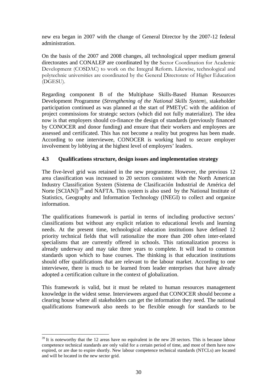new era began in 2007 with the change of General Director by the 2007-12 federal administration.

On the basis of the 2007 and 2008 changes, all technological upper medium general directorates and CONALEP are coordinated by the Sector Coordination for Academic Development (COSDAC) to work on the Integral Reform. Likewise, technological and polytechnic universities are coordinated by the General Directorate of Higher Education (DGESU).

Regarding component B of the Multiphase Skills-Based Human Resources Development Programme (*Strengthening of the National Skills System*), stakeholder participation continued as was planned at the start of PMETyC with the addition of project commissions for strategic sectors (which did not fully materialize). The idea now is that employers should co-finance the design of standards (previously financed by CONOCER and donor funding) and ensure that their workers and employees are assessed and certificated. This has not become a reality but progress has been made. According to one interviewee, CONOCER is working hard to secure employer involvement by lobbying at the highest level of employers' leaders.

### **4.3 Qualifications structure, design issues and implementation strategy**

The five-level grid was retained in the new programme. However, the previous 12 area classification was increased to 20 sectors consistent with the North American Industry Classification System (Sistema de Clasificación Industrial de América del Norte  $[SCIAN]$ <sup>39</sup> and NAFTA. This system is also used by the National Institute of Statistics, Geography and Information Technology (INEGI) to collect and organize information.

The qualifications framework is partial in terms of including productive sectors' classifications but without any explicit relation to educational levels and learning needs. At the present time, technological education institutions have defined 12 priority technical fields that will rationalize the more than 200 often inter-related specialisms that are currently offered in schools. This rationalization process is already underway and may take three years to complete. It will lead to common standards upon which to base courses. The thinking is that education institutions should offer qualifications that are relevant to the labour market. According to one interviewee, there is much to be learned from leader enterprises that have already adopted a certification culture in the context of globalization.

This framework is valid, but it must be related to human resources management knowledge in the widest sense. Interviewees argued that CONOCER should become a clearing house where all stakeholders can get the information they need. The national qualifications framework also needs to be flexible enough for standards to be

 $39$  It is noteworthy that the 12 areas have no equivalent in the new 20 sectors. This is because labour competence technical standards are only valid for a certain period of time, and most of them have now expired, or are due to expire shortly. New labour competence technical standards (NTCLs) are located and will be located in the new sector grid.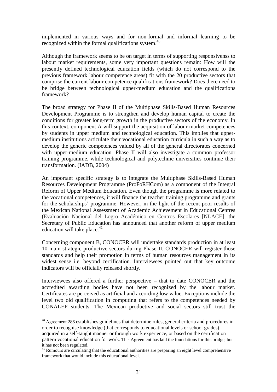implemented in various ways and for non-formal and informal learning to be recognized within the formal qualifications system.<sup>40</sup>

Although the framework seems to be on target in terms of supporting responsivenss to labout market requirements, some very important questions remain: How will the presently defined technological education fields (which do not correspond to the previous framework labour competence areas) fit with the 20 productive sectors that comprise the current labour competence qualifications framework? Does there need to be bridge between technological upper-medium education and the qualifications framework?

The broad strategy for Phase II of the Multiphase Skills-Based Human Resources Development Programme is to strengthen and develop human capital to create the conditions for greater long-term growth in the productive sectors of the economy. In this context, component A will support the acquisition of labour market competences by students in upper medium and technological education. This implies that uppermedium institutions articulate their vocational education curricula in such a way as to develop the generic competences valued by all of the general directorates concerned with upper-medium education. Phase II will also investigate a common professor training programme, while technological and polytechnic universities continue their transformation. (IADB, 2004)

An important specific strategy is to integrate the Multiphase Skills-Based Human Resources Development Programme (ProFoRHCom) as a component of the Integral Reform of Upper Medium Education. Even though the programme is more related to the vocational competences, it will finance the teacher training programme and grants for the scholarships' programme. However, in the light of the recent poor results of the Mexican National Assessment of Academic Achievement in Educational Centres (Evaluación Nacional del Logro Académico en Centros Escolares [NLACE], the Secretary of Public Education has announced that another reform of upper medium education will take place. $41$ 

Concerning component B, CONOCER will undertake standards production in at least 10 main strategic productive sectors during Phase II. CONOCER will register those standards and help their promotion in terms of human resources management in its widest sense i.e. beyond certification. Interviewees pointed out that key outcome indicators will be officially released shortly.

Interviewees also offered a further perspective – that to date CONOCER and the accredited awarding bodies have not been recognized by the labour market. Certificates are perceived as artificial and according low value. Exceptions include the level two old qualification in computing that refers to the competences needed by CONALEP students. The Mexican productive and social sectors still trust the

<sup>&</sup>lt;sup>40</sup> Agreement 286 establishes guidelines that determine rules, general criteria and procedures in order to recognise knowledge (that corresponds to educational levels or school grades) acquired in a self-taught manner or through work experience, or based on the certification pattern vocational education for work. This Agreement has laid the foundations for this bridge, but it has not been regulated.

<sup>&</sup>lt;sup>41</sup> Rumours are circulating that the educational authorities are preparing an eight level comprehensive framework that would include this educational level.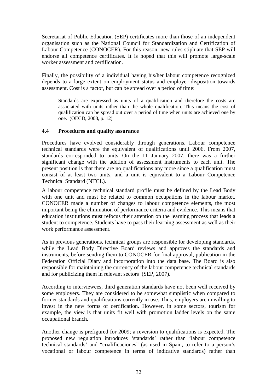Secretariat of Public Education (SEP) certificates more than those of an independent organisation such as the National Council for Standardization and Certification of Labour Competence (CONOCER). For this reason, new rules stipluate that SEP will endorse all competence certificates. It is hoped that this will promote large-scale worker assessment and certification.

Finally, the possibility of a individual having his/her labour competence recognized depends to a large extent on employment status and employer disposition towards assessment. Cost is a factor, but can be spread over a period of time:

Standards are expressed as units of a qualification and therefore the costs are associated with units rather than the whole qualification. This means the cost of qualification can be spread out over a period of time when units are achieved one by one. (OECD, 2008, p. 12)

#### **4.4 Procedures and quality assurance**

Procedures have evolved considerably through generations. Labour competence technical standards were the equivalent of qualifications until 2006. From 2007, standards corresponded to units. On the 11 January 2007, there was a further significant change with the addtion of assessment instruments to each unit. The present position is that there are no qualifications any more since a qualification must consist of at least two units, and a unit is equivalent to a Labour Competence Technical Standard (NTCL).

A labour competence technical standard profile must be defined by the Lead Body with one unit and must be related to common occupations in the labour market. CONOCER made a number of changes to labour competence elements, the most important being the elimination of performance criteria and evidence. This means that education institutions must refocus their attention on the learning process that leads a student to competence. Students have to pass their learning assessment as well as their work performance assessment.

As in previous generations, technical groups are responsible for developing standards, while the Lead Body Directive Board reviews and approves the standards and instruments, before sending them to CONOCER for final approval, publication in the Federation Official Diary and incorporation into the data base. The Board is also responsible for maintaining the currency of the labour competence technical standards and for publicizing them in relevant sectors (SEP, 2007).

According to interviewees, third generation standards have not been well received by some employers. They are considered to be somewhat simplistic when compared to former standards and qualifications currently in use. Thus, employers are unwilling to invest in the new forms of certification. However, in some sectors, tourism for example, the view is that units fit well with promotion ladder levels on the same occupational branch.

Another change is prefigured for 2009; a reversion to qualifications is expected. The proposed new regulation introduces 'standards' rather than 'labour competence technical standards' and "c**u**alificaciones" (as used in Spain, to refer to a person's vocational or labour competence in terms of indicative standards) rather than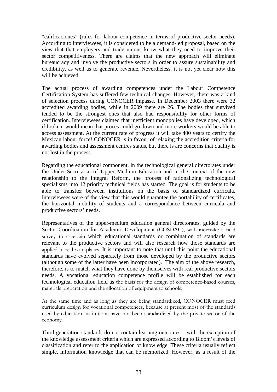"calificaciones" (rules for labour competence in terms of productive sector needs). According to interviewees, it is considered to be a demand-led proposal, based on the view that that employers and trade unions know what they need to improve their sector competitiveness. There are claims that the new approach will eliminate bureaucracy and involve the productive sectors in order to assure sustainability and credibility, as well as to generate revenue. Nevertheless, it is not yet clear how this will be achieved.

The actual process of awarding competences under the Labour Competence Certification System has suffered few technical changes. However, there was a kind of selection process during CONOCER impasse. In December 2003 there were 32 accredited awarding bodies, while in 2009 there are 26. The bodies that survived tended to be the strongest ones that also had responsibility for other forms of certification. Interviewees claimed that inefficient monopolies have developed, which if broken, would mean that proces could go down and more workers would be able to access assessment. At the current rate of progress it will take 400 years to certify the Mexican labour force! CONOCER is in favour of relaxing the accredition criteria for awarding bodies and assessment centres status, but there is are concerns that quality is not lost in the process.

Regarding the educational component, in the technological general directorates under the Under-Secretariat of Upper Medium Education and in the context of the new relationship to the Integral Reform, the process of rationalizing technological specialisms into 12 priority technical fields has started. The goal is for students to be able to transfter between institutions on the basis of standardized curricula. Interviewees were of the view that this would guarantee the portability of certificates, the horizontal mobility of students and a correspondance between curricula and productive sectors' needs.

Representatives of the upper-medium education general directorates, guided by the Sector Coordination for Academic Development (COSDAC), will undertake a field survey to ascertain which educational standards or combination of standards are relevant to the productive sectors and will also research how those standards are applied in real workplaces. It is important to note that until this point the educational standards have evolved separately from those developed by the productive sectors (although some of the latter have been incorporated). The aim of the above research, therefore, is to match what they have done by themselves with real productive sectors needs. A vocational education competence profile will be established for each technological education field as the basis for the design of competence-based courses, materials preparation and the allocation of equipment to schools.

At the same time and as long as they are being standardized, CONOCER must feed curriculum design for vocational competences, because at present most of the standards used by education institutions have not been standardized by the private sector of the economy.

Third generation standards do not contain learning outcomes – with the exception of the knowledge assessment criteria which are expressed according to Bloom's levels of classification and refer to the application of knowledge. These criteria usually reflect simple, information knowledge that can be memorized. However, as a result of the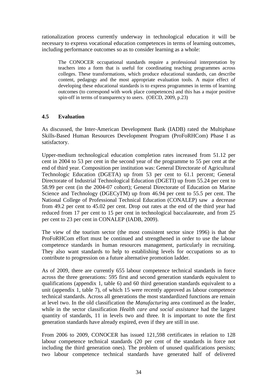rationalization process currently underway in technological education it will be necessary to express vocational education competences in terms of learning outcomes, including performance outcomes so as to consider learning as a whole:

The CONOCER occupational standards require a professional interpretation by teachers into a form that is useful for coordinating teaching programmes across colleges. These transformations, which produce educational standards, can describe content, pedagogy and the most appropriate evaluation tools. A major effect of developing these educational standards is to express programmes in terms of learning outcomes (to correspond with work place competences) and this has a major positive spin-off in terms of transparency to users. (OECD, 2009, p.23)

### **4.5 Evaluation**

As discussed, the Inter-American Development Bank (IADB) rated the Multiphase Skills-Based Human Resources Development Program (ProFoRHCom) Phase I as satisfactory.

Upper-medium technological education completion rates increased from 51.12 per cent in 2004 to 53 per cent in the second year of the programme to 55 per cent at the end of third year. Composition per institution was: General Directorate of Agricultural Technologic Education (DGETA) up from 53 per cent to 61.1 percent; General Directorate of Industrial Technological Education (DGETI) up from 55.24 per cent to 58.99 per cent (in the 2004-07 cohort); General Directorate of Education on Marine Science and Technology (DGECyTM) up from 46.94 per cent to 55.5 per cent. The National College of Professional Technical Education (CONALEP) saw a decrease from 49.2 per cent to 45.02 per cent. Drop out rates at the end of the third year had reduced from 17 per cent to 15 per cent in technological baccalaureate, and from 25 per cent to 23 per cent in CONALEP (IADB, 2009).

The view of the tourism sector (the most consistent sector since 1996) is that the ProFoRHCom effort must be continued and strengthened in order to use the labour competence standards in human resources management, particularly in recruiting. They also want standards to help to establishing levels for occupations so as to contribute to progression on a future alternative promotion ladder.

As of 2009, there are currently 655 labour competence technical standards in force across the three generations: 595 first and second generation standards equivalent to qualifications (appendix 1, table 6) and 60 third generation standards equivalent to a unit (appendix 1, table 7), of which 15 were recently approved as labour competence technical standards. Across all generations the most standardized functions are remain at level two. In the old classification the *Manufacturing* area continued as the leader, while in the sector classification *Health care and social assistance* had the largest quantity of standards, 11 in levels two and three. It is important to note the first generation standards have already expired, even if they are still in use.

From 2006 to 2009, CONOCER has issued 121,598 certificates in relation to 128 labour competence technical standards (20 per cent of the standards in force not including the third generation ones). The problem of unused qualifications persists; two labour competence technical standards have generated half of delivered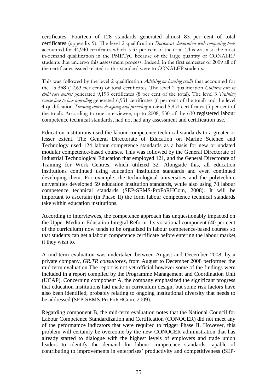certificates. Fourteen of 128 standards generated almost 83 per cent of total certificates (appendix 9). The level 2 qualification *Document elaboration with computing tools* accounted for 44,940 certifcates which is 37 per cent of the total. This was also the most in-demand qualification in the PMETyC because of the large quantity of CONALEP students that undergo this assessment process. Indeed, in the first semester of 2009 all of the certificates issued related to this standard were to CONALEP students.

This was followed by the level 2 qualification *Advising on housing credit* that accounted for the 15,368 (12.63 per cent) of total certificates. The level 2 qualification *Children care in child care centres* generated 9,193 certificates (8 per cent of the total). The level 3 *Training course face to face providing* generated 6,931 certificates (6 per cent of the total) and the level 4 qualification *Training course designing and providing* attained 5,851 certificates (5 per cent of the total). According to one interviewee, up to 2008, 530 of the 630 registered labour competence technical standards, had not had any assessment and certification use.

Education institutions used the labour competence technical standards to a greater or lesser extent. The General Directorate of Education on Marine Science and Technology used 124 labour competence standards as a basis for new or updated modular competence-based courses. This was followed by the General Directorate of Industrial Technological Education that employed 121, and the General Directorate of Training for Work Centres, which utilized 32. Alongside this, all education institutions continued using education institution standards and even continued developing them. For example, the technological universities and the polytechnic universities developed 59 education institution standards, while also using 78 labour competence technical standards (SEP-SEMS-ProFoRHCom, 2008). It will be important to ascertain (in Phase II) the form labour competence technical standards take within education institutions.

According to interviewees, the competence approach has unquestionably impacted on the Upper Medium Education Integral Reform. Its vocational component (40 per cent of the curriculum) now tends to be organized in labour competence-based courses so that students can get a labour competence certificate before entering the labour market, if they wish to.

A mid-term evaluation was undertaken between August and December 2008, by a private company, *GR.TR consultores*, from August to December 2008 performed the mid term evaluation The report is not yet official however some of the findings were included in a report compiled by the Programme Management and Coordination Unit (UCAP). Concerning component A, the company emphasized the significant progress that education institutions had made in curriculum design, but some risk factors have also been identified, probably relating to ongoing institutional diversity that needs to be addressed (SEP-SEMS-ProFoRHCom, 2009).

Regarding component B, the mid-term evaluation notes that the National Council for Labour Competence Standardization and Certification (CONOCER) did not meet any of the peformamce indicators that were required to trigger Phase II. However, this problem will certainly be overcome by the new CONOCER administration that has already started to dialogue with the highest levels of employers and trade union leaders to identify the demand for labour competence standards capable of contributing to improvements in enterprises' productivity and competitiveness (SEP-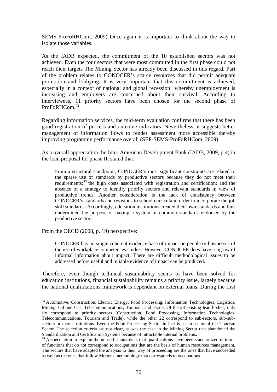SEMS-ProFoRHCom, 2009) Once again it is important to think about the way to isolate those variables.

As the IADB expected, the commitment of the 10 established sectors was not achieved. Even the four sectors that were most committed in the first phase could not reach their targets The Mining Sector has already been discussed in this regard. Part of the problem relates to CONOCER's scarce resources that did permit adequate promotion and lobbying. It is very important that this commitment is achieved, especially in a context of national and global recession whereby unemployment is increasing and employers are concerned about their survival. According to interviewees, 11 priority sectors have been chosen for the second phase of ProFoRHCom.<sup>42</sup>

Regarding information services, the mid-term evaluation confirms that there has been good registration of process and outcome indicators. Nevertheless, it suggests better management of information flows to render assessment more accessible thereby improving programme performance overall (SEP-SEMS-ProFoRHCom, 2009).

As a overall appreciation the Inter American Development Bank (IADB, 2009, p.4) in the loan proposal for phase II, stated that:

From a structural standpoint, CONOCER's most significant constraints are related to the sparse use of standards by productive sectors because they do not meet their requirements;<sup>43</sup> the high costs associated with registration and certification; and the absence of a strategy to identify priority sectors and relevant standards in view of productive trends. Another consideration is the lack of consistency between CONOCER's standards and revisions to school curricula in order to incorporate the job skill standards. Accordingly, education institutions created their own standards and thus undermined the purpose of having a system of common standards endorsed by the productive sector.

From the OECD (2008, p. 19) perspective:

 $\overline{a}$ 

CONOCER has no single coherent evidence base of impact on people or businesses of the use of workplace competences studies. However CONOCER does have a jigsaw of informal information about impact. There are difficult methodological issues to be addressed before useful and reliable evidence of impact can be produced.

Therefore, even though technical sustainability seems to have been solved for education institutions, financial sustainability remains a priority issue, largely because the national qualifications framework is dependant on external loans. During the first

 $42$  Automotive, Construction, Electric Energy, Food Processing, Information Technologies, Logistics, Mining, Oil and Gas, Telecommunications, Tourism, and Trade. Of the 28 existing lead bodies, only six correspond to priority sectors (Construction, Food Processing, Information Technologies, Telecommunications, Tourism and Trade), while the other 22 correspond to sub-sectors, sub-subsectors or mere institutions. Even the Food Processing Sector in fact is a sub-sector of the Tourism Sector. The selection criteria are not clear, as was the case in the Mining Sector that abandoned the Standardization and Certification Systems because of intractable internal problems.

<sup>&</sup>lt;sup>43</sup> A speculation to explain the unused standards is that qualifications have been standardized in terms of functions that do not correspond to occupations that are the basis of human resources management. The sectors that have adapted the analysis to their way of proceeding are the ones that have succeeded as well as the ones that follow Mertens methodology that corresponds to occupations.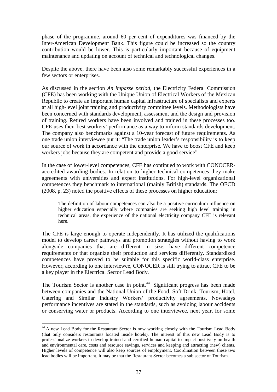phase of the programme, around 60 per cent of expenditures was financed by the Inter-American Development Bank. This figure could be increased so the country contribution would be lower. This is particularly important because of equipment maintenance and updating on account of technical and technological changes.

Despite the above, there have been also some remarkably successful experiences in a few sectors or enterprises.

As discussed in the section *An impasse period,* the Electricity Federal Commission (CFE) has been working with the Unique Union of Electrical Workers of the Mexican Republic to create an important human capital infrastructure of specialists and experts at all high-level joint training and productivity committee levels. Methodologists have been concerned with standards development, assessment and the design and provision of training. Retired workers have been involved and trained in these processes too. CFE uses their best workers' performance as a way to inform standards development. The company also benchmarks against a 10-year forecast of future requirements. As one trade union interviewee put it: "The trade union leader's responsibility is to keep our source of work in accordance with the enterprise. We have to boost CFE and keep workers jobs because they are competent and provide a good service".

In the case of lower-level competences, CFE has continued to work with CONOCERaccredited awarding bodies. In relation to higher technical competences they make agreements with universities and expert institutions. For high-level organizational competences they benchmark to international (mainly British) standards. The OECD (2008, p. 23) noted the positive effects of these processes on higher education:

The definition of labour competences can also be a positive curriculum influence on higher education especially where companies are seeking high level training in technical areas, the experience of the national electricity company CFE is relevant here.

The CFE is large enough to operate independently. It has utilized the qualifications model to develop career pathways and promotion strategies without having to work alongside companies that are different in size, have different competence requirements or that organize their production and services differently. Standardized competences have proved to be suitable for this specific world-class enterprise. However, according to one interviewee, CONOCER is still trying to attract CFE to be a key player in the Electrical Sector Lead Body.

The Tourism Sector is another case in point.<sup>44</sup> Significant progress has been made between companies and the National Union of the Food, Soft Drink, Tourism, Hotel, Catering and Similar Industry Workers' productivity agreements. Nowadays performance incentives are stated in the standards, such as avoiding labour accidents or conserving water or products. According to one interviewee, next year, for some

 $\overline{a}$ <sup>44</sup> A new Lead Body for the Restaurant Sector is now working closely with the Tourism Lead Body (that only considers restaurants located inside hotels). The interest of this new Lead Body is to professionalize workers to develop trained and certified human capital to impact positively on health and environmental care, costs and resource savings, services and keeping and attracting (new) clients. Higher levels of competence will also keep sources of employment. Coordination between these two lead bodies will be important. It may be that the Restaurant Sector becomes a sub sector of Tourism.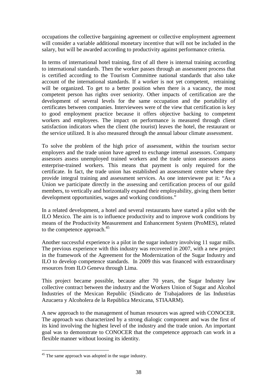occupations the collective bargaining agreement or collective employment agreement will consider a variable additional monetary incentive that will not be included in the salary, but will be awarded according to productivity against performance criteria.

In terms of international hotel training, first of all there is internal training according to international standards. Then the worker passes through an assessment process that is certified according to the Tourism Committee national standards that also take account of the international standards. If a worker is not yet competent, retraining will be organized. To get to a better position when there is a vacancy, the most competent person has rights over seniority. Other impacts of certification are the development of several levels for the same occupation and the portability of certificates between companies. Interviewees were of the view that certification is key to good employment practice because it offers objective backing to competent workers and employees. The impact on performance is measured through client satisfaction indicators when the client (the tourist) leaves the hotel, the restaurant or the service utilized. It is also measured through the annual labour climate assessment.

To solve the problem of the high price of assessment, within the tourism sector employers and the trade union have agreed to exchange internal assessors. Company assessors assess unemployed trained workers and the trade union assessors assess enterprise-trained workers. This means that payment is only required for the certificate. In fact, the trade union has established an assessment centre where they provide integral training and assessment services. As one interviewee put it: "As a Union we participate directly in the assessing and certification process of our guild members, to vertically and horizontally expand their employability, giving them better development opportunities, wages and working conditions."

In a related development, a hotel and several restaurants have started a pilot with the ILO Mexico. The aim is to influence productivity and to improve work conditions by means of the Productivity Measurement and Enhancement System (ProMES), related to the competence approach.<sup>45</sup>

Another successful experience is a pilot in the sugar industry involving 11 sugar mills. The previous experience with this industry was recovered in 2007, with a new project in the framework of the Agreement for the Modernization of the Sugar Industry and ILO to develop competence standards. In 2009 this was financed with extraordinary resources from ILO Geneva through Lima.

This project became possible, because after 70 years, the Sugar Industry law collective contract between the industry and the Workers Union of Sugar and Alcohol Industries of the Mexican Republic (Sindicato de Trabajadores de las Industrias Azucaera y Alcoholera de la República Mexicana, STIAARM).

A new approach to the management of human resources was agreed with CONOCER. The approach was characterized by a strong dialogic component and was the first of its kind involving the highest level of the industry and the trade union. An important goal was to demonstrate to CONOCER that the competence approach can work in a flexible manner without loosing its identity.

<sup>&</sup>lt;sup>45</sup> The same approach was adopted in the sugar industry.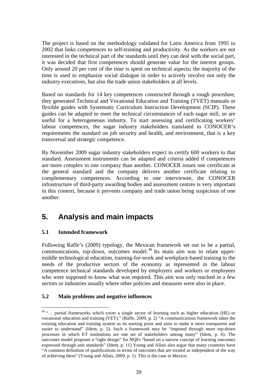The project is based on the methodology validated for Latin America from 1995 to 2002 that links competences to self-training and productivity. As the workers are not interested in the technical part of the standards until they can deal with the social part, it was decided that first competences should generate value for the interest groups. Only around 20 per cent of the time is spent on technical aspects; the majority of the time is used to emphasize social dialogue in order to actively involve not only the industry executives, but also the trade union stakeholders at all levels.

Based on standards for 14 key competences constructed through a rough procedure, they generated Technical and Vocational Education and Training (TVET) manuals or flexible guides with Systematic Curriculum Instruction Development (SCIP). These guides can be adapted to meet the technical circumstances of each sugar mill, so are useful for a heterogeneous industry. To start assessing and certificating workers' labour competences, the sugar industry stakeholders translated to CONOCER's requirements the standard on job security and health, and environment, that is a key transversal and strategic competence.

By November 2009 sugar industry stakeholders expect to certify 600 workers to that standard. Assessment instruments can be adapted and criteria added if competences are more complex in one company than another. CONOCER issues one certificate at the general standard and the company delivers another certificate relating to complementary competences. According to one interviewee, the CONOCER infrastructure of third-party awarding bodies and assessment centres is very important in this context, because it prevents company and trade union being suspicious of one another.

# **5. Analysis and main impacts**

### **5.1 Intended framework**

 $\overline{a}$ 

Following Raffe's (2009) typology, the Mexican framework set out to be a partial, communications, top-down, outcomes model.<sup>46</sup> Its main aim was to relate uppermiddle technological education, training-for-work and workplace-based training to the needs of the productive sectors of the economy as represented in the labour competence technical standards developed by employers and workers or employees who were supposed to know what was required. This aim was only reached in a few sectors or industries usually where other policies and measures were also in place.

### **5.2 Main problems and negative influences**

<sup>&</sup>lt;sup>46</sup> "... partial frameworks which cover a single sector of learning such as higher education (HE) or vocational education and training (VET)." (Raffe, 2009, p. 2) "A communications framework takes the existing education and training system as its starting point and aims to make it more transparent and easier to understand" (Idem, p. 5). Such a framework may be "imposed through more top-down processes in which ET institutions are one set of stakeholders among many" (Idem, p. 6). The outcomes model proposes a "tight design" for NQFs "based on a narrow concept of learning outcomes expressed through unit standards" (Idem, p. 11) Young and Allais also argue that many countries have "A common definition of qualifications in terms of outcomes that are treated as independent of the way of achieving them" (Young and Allais, 2009, p. 1). This is the case in Mexico.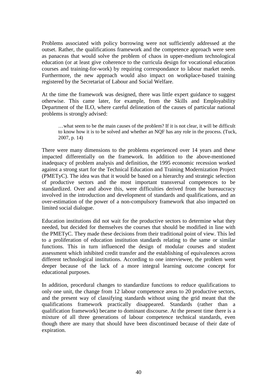Problems associated with policy borrowing were not sufficiently addressed at the outset. Rather, the qualifications framework and the competence approach were seen as panaceas that would solve the problem of chaos in upper-medium technological education (or at least give coherence to the curricula design for vocational education courses and training-for-work) by requiring correspondance to labour market needs. Furthermore, the new approach would also impact on workplace-based training registered by the Secretariat of Labour and Social Welfare.

At the time the framework was designed, there was little expert guidance to suggest otherwise. This came later, for example, from the Skills and Employability Department of the ILO, where careful delineation of the causes of particular national problems is strongly advised:

…what seem to be the main causes of the problem? If it is not clear, it will be difficult to know how it is to be solved and whether an NQF has any role in the process. (Tuck, 2007, p. 14)

There were many dimensions to the problems experienced over 14 years and these impacted differentially on the framework. In addition to the above-mentioned inadequacy of problem analysis and definition, the 1995 economic recession worked against a strong start for the Technical Education and Training Modernization Project (PMETyC). The idea was that it would be based on a hierarchy and strategic selection of productive sectors and the most important transversal competences to be standardized. Over and above this, were difficulties derived from the bureaucracy involved in the introduction and development of standards and qualifications, and an over-estimation of the power of a non-compulsory framework that also impacted on limited social dialogue.

Education institutions did not wait for the productive sectors to determine what they needed, but decided for themselves the courses that should be modified in line with the PMETyC. They made these decisions from their traditional point of view. This led to a proliferation of education institution standards relating to the same or similar functions. This in turn influenced the design of modular courses and student assessment which inhibited credit transfer and the establishing of equivalences across different technological institutions. According to one interviewee, the problem went deeper because of the lack of a more integral learning outcome concept for educational purposes.

In addition, procedural changes to standardize functions to reduce qualifications to only one unit, the change from 12 labour competence areas to 20 productive sectors, and the present way of classifying standards without using the grid meant that the qualifications framework practically disappeared. Standards (rather than a qualification framework) became to dominant discourse. At the present time there is a mixture of all three generations of labour competence technical standards, even though there are many that should have been discontinued because of their date of expiration.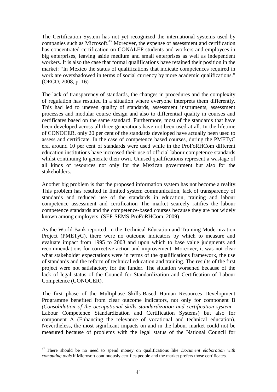The Certification System has not yet recognized the international systems used by companies such as Microsoft.<sup>47</sup> Moreover, the expense of assessment and certification has concentrated certification on CONALEP students and workers and employees in big enterprises, leaving aside medium and small enterprises as well as independent workers. It is also the case that formal qualifications have retained their position in the market: "In Mexico the status of qualifications that indicate competences required in work are overshadowed in terms of social currency by more academic qualifications." (OECD, 2008, p. 16)

The lack of transparency of standards, the changes in procedures and the complexity of regulation has resulted in a situation where everyone interprets them differently. This had led to uneven quality of standards, assessment instruments, assessment processes and modular course design and also to differential quality in courses and certificates based on the same standard. Furthermore, most of the standards that have been developed across all three generations have not been used at all. In the lifetime of CONOCER, only 20 per cent of the standards developed have actually been used to assess and certificate. In the case of competence based courses, during the PMETyC era, around 10 per cent of standards were used while in the ProFoRHCom different education institutions have increased their use of official labour competence standards whilst continuing to generate their own. Unused qualifications represent a wastage of all kinds of resources not only for the Mexican government but also for the stakeholders.

Another big problem is that the proposed information system has not become a reality. This problem has resulted in limited system communication, lack of transparency of standards and reduced use of the standards in education, training and labour competence assessment and certification The market scarcely ratifies the labour competence standards and the competence-based courses because they are not widely known among employers. (SEP-SEMS-ProFoRHCom, 2009)

As the World Bank reported, in the Technical Education and Training Modernization Project (PMETyC), there were no outcome indicators by which to measure and evaluate impact from 1995 to 2003 and upon which to base value judgments and recommendations for corrective action and improvement. Moreover, it was not clear what stakeholder expectations were in terms of the qualifications framework, the use of standards and the reform of technical education and training. The results of the first project were not satisfactory for the funder. The situation worsened because of the lack of legal status of the Council for Standardization and Certification of Labour Competence (CONOCER).

The first phase of the Multiphase Skills-Based Human Resources Development Programme benefited from clear outcome indicators, not only for component B *(Consolidation of the occupational skills standardization and certification system* - Labour Competence Standardization and Certification Systems) but also for component A (Enhancing the relevance of vocational and technical education). Nevertheless, the most significant impacts on and in the labour market could not be measured because of problems with the legal status of the National Council for

 $\overline{a}$ <sup>47</sup> There should be no need to spend money on qualifications like *Document elaboration with computing tools* if Microsoft continuously certifies people and the market prefers those certificates.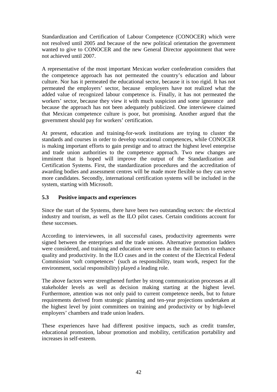Standardization and Certification of Labour Competence (CONOCER) which were not resolved until 2005 and because of the new political orientation the government wanted to give to CONOCER and the new General Director appointment that were not achieved until 2007.

A representative of the most important Mexican worker confederation considers that the competence approach has not permeated the country's education and labour culture. Nor has it permeated the educational sector, because it is too rigid. It has not permeated the employers' sector, because employers have not realized what the added value of recognized labour competence is. Finally, it has not permeated the workers' sector, because they view it with much suspicion and some ignorance and because the approach has not been adequately publicized. One interviewee claimed that Mexican competence culture is poor, but promising. Another argued that the government should pay for workers' certification.

At present, education and training-for-work institutions are trying to cluster the standards and courses in order to develop vocational competences, while CONOCER is making important efforts to gain prestige and to attract the highest level enterprise and trade union authorities to the competence approach. Two new changes are imminent that is hoped will improve the output of the Standardization and Certification Systems. First, the standardization procedures and the accreditation of awarding bodies and assessment centres will be made more flexible so they can serve more candidates. Secondly, international certification systems will be included in the system, starting with Microsoft.

### **5.3 Positive impacts and experiences**

Since the start of the Systems, there have been two outstanding sectors: the electrical industry and tourism, as well as the ILO pilot cases. Certain conditions account for these successes.

According to interviewees, in all successful cases, productivity agreements were signed between the enterprises and the trade unions. Alternative promotion ladders were considered, and training and education were seen as the main factors to enhance quality and productivity. In the ILO cases and in the context of the Electrical Federal Commission 'soft competences' (such as responsibility, team work, respect for the environment, social responsibility) played a leading role.

The above factors were strengthened further by strong communication processes at all stakeholder levels as well as decision making starting at the highest level. Furthermore, attention was not only paid to current competence needs, but to future requirements derived from strategic planning and ten-year projections undertaken at the highest level by joint committees on training and productivity or by high-level employers' chambers and trade union leaders.

These experiences have had different positive impacts, such as credit transfer, educational promotion, labour promotion and mobility, certification portability and increases in self-esteem.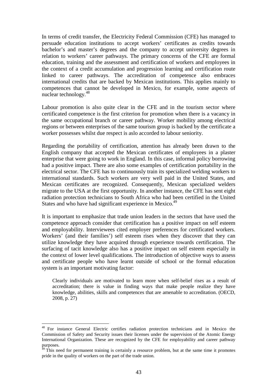In terms of credit transfer, the Electricity Federal Commission (CFE) has managed to persuade education institutions to accept workers' certificates as credits towards bachelor's and master's degrees and the company to accept university degrees in relation to workers' career pathways. The primary concerns of the CFE are formal education, training and the assessment and certification of workers and employees in the context of a credit accumulation and progression learning and certification route linked to career pathways. The accreditation of competence also embraces international credits that are backed by Mexican institutions. This applies mainly to competences that cannot be developed in Mexico, for example, some aspects of nuclear technology.<sup>48</sup>

Labour promotion is also quite clear in the CFE and in the tourism sector where certificated competence is the first criterion for promotion when there is a vacancy in the same occupational branch or career pathway. Worker mobility among electrical regions or between enterprises of the same tourism group is backed by the certificate a worker possesses whilst due respect is aslo accorded to labour seniority.

Regarding the portability of certification, attention has already been drawn to the English company that accepted the Mexican certificates of employees in a plaster enterprise that were going to work in England. In this case, informal policy borrowing had a positive impact. There are also some examples of certification portability in the electrical sector. The CFE has to continuously train its specialized welding workers to international standards. Such workers are very well paid in the United States, and Mexican certificates are recognized. Consequently, Mexican specialized welders migrate to the USA at the first opportunity. In another instance, the CFE has sent eight radiation protection technicians to South Africa who had been certified in the United States and who have had significant experience in Mexico.<sup>49</sup>

It is important to emphasize that trade union leaders in the sectors that have used the competence approach consider that certification has a positive impact on self esteem and employability. Interviewees cited employer preferences for certificated workers. Workers' (and their families') self esteem rises when they discover that they can utilize knowledge they have acquired through experience towards certification. The surfacing of tacit knowledge also has a positive impact on self esteem especially in the context of lower level qualifications. The introduction of objective ways to assess and certificate people who have learnt outside of school or the formal education system is an important motivating factor:

Clearly individuals are motivated to learn more when self-belief rises as a result of accreditation; there is value in finding ways that make people realize they have knowledge, abilities, skills and competences that are amenable to accreditation. (OECD, 2008, p. 27)

<sup>48</sup> For instance General Electric certifies radiation protection technicians and in Mexico the Commission of Safety and Security issues their licenses under the supervision of the Atomic Energy International Organization. These are recognized by the CFE for employability and career pathway purposes.

 $49$  This need for permanent training is certainly a resource problem, but at the same time it promotes pride in the quality of workers on the part of the trade union.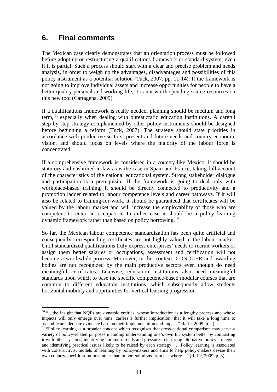# **6. Final comments**

 $\overline{a}$ 

The Mexican case clearly demonstrates that an orientation process must be followed before adopting or restructuring a qualifications framework or standard system, even if it is partial. Such a process should start with a clear and precise problem and needs analysis, in order to weigh up the advantages, disadvantages and possibilities of this policy instrument as a potential solution (Tuck, 2007, pp. 11-14). If the framework is not going to improve individual assets and increase opportunities for people to have a better quality personal and working life, it is not worth spending scarce resources on this new tool (Cartagena, 2009).

If a qualifications framework is really needed, planning should be medium and long term,  $50$  especially when dealing with bureaucratic education institutions. A careful step by step strategy complemented by other policy instruments should be designed before beginning a reform (Tuck, 2007). The strategy should state priorities in accordance with productive sectors' present and future needs and country economic vision, and should focus on levels where the majority of the labour force is concentrated.

If a comprehensive framework is considered in a country like Mexico, it should be statutory and enshrined in law as is the case in Spain and France, taking full account of the characteristics of the national educational system. Strong stakeholder dialogue and participation is a prerequisite. If the framework is going to deal only with workplace-based training, it should be directly connected to productivity and a promotion ladder related to labour competence levels and career pathways. If it will also be related to training-for-work, it should be guaranteed that certificates will be valued by the labour market and will increase the employability of those who are competent to enter an occupation. In either case it should be a policy learning dynamic framework rather than based on policy borrowing.  $51$ 

So far, the Mexican labour competence standardization has been quite artificial and consequently corresponding certificates are not highly valued in the labour market. Until standardized qualifications truly express enterprises' needs to recruit workers or assign them better salaries or occupations, assessment and certification will not become a worthwhile process. Moreover, in this context, CONOCER and awarding bodies are not recognized by the main productive sectors even though do need meaningful certificates. Likewise, education institutions also need meaningful standards upon which to base the specific competence-based modular courses that are common to different education institutions, which subsequently allow students horizontal mobility and opprtunities for vertical learning progression.

<sup>&</sup>lt;sup>50</sup> "...the insight that NQFs are dynamic entities, whose introduction is a lengthy process and whose impacts will only emerge over time, carries a further implication: that it will take a long time to assemble an adequate evidence base on their implementation and impact." Raffe, 2009, p. 2)

<sup>&</sup>lt;sup>51</sup> "Policy learning is a broader concept which recognises that cross-national comparison may serve a variety of policy-related purposes including understanding one's own ET system better by contrasting it with other systems, identifying common trends and pressures, clarifying alternative policy strategies and identifying practical issues likely to be raised by each strategy. … Policy learning is associated with constructivist models of learning by policy-makers and aims to help policy-makers devise their own country-specific solutions rather than import solutions from elsewhere…" (Raffe, 2009, p. 3).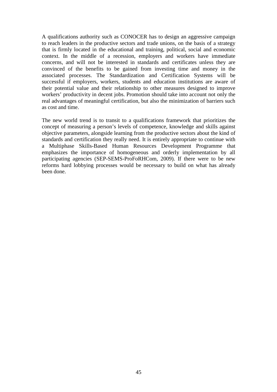A qualifications authority such as CONOCER has to design an aggressive campaign to reach leaders in the productive sectors and trade unions, on the basis of a strategy that is firmly located in the educational and training, political, social and economic context. In the middle of a recession, employers and workers have immediate concerns, and will not be interested in standards and certificates unless they are convinced of the benefits to be gained from investing time and money in the associated processes. The Standardization and Certification Systems will be successful if employers, workers, students and education institutions are aware of their potential value and their relationship to other measures designed to improve workers' productivity in decent jobs. Promotion should take into account not only the real advantages of meaningful certification, but also the minimization of barriers such as cost and time.

The new world trend is to transit to a qualifications framework that prioritizes the concept of measuring a person's levels of competence, knowledge and skills against objective parameters, alongside learning from the productive sectors about the kind of standards and certification they really need. It is entirely appropriate to continue with a Multiphase Skills-Based Human Resources Development Programme that emphasizes the importance of homogeneous and orderly implementation by all participating agencies (SEP-SEMS-ProFoRHCom, 2009). If there were to be new reforms hard lobbying processes would be necessary to build on what has already been done.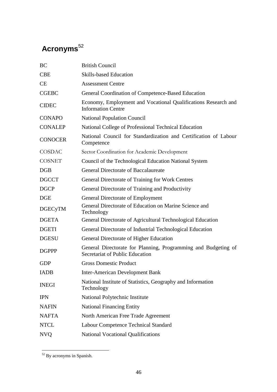# Acronyms<sup>52</sup>

| <b>BC</b>      | <b>British Council</b>                                                                            |
|----------------|---------------------------------------------------------------------------------------------------|
| <b>CBE</b>     | <b>Skills-based Education</b>                                                                     |
| <b>CE</b>      | <b>Assessment Centre</b>                                                                          |
| <b>CGEBC</b>   | General Coordination of Competence-Based Education                                                |
| <b>CIDEC</b>   | Economy, Employment and Vocational Qualifications Research and<br><b>Information Centre</b>       |
| <b>CONAPO</b>  | <b>National Population Council</b>                                                                |
| <b>CONALEP</b> | National College of Professional Technical Education                                              |
| <b>CONOCER</b> | National Council for Standardization and Certification of Labour<br>Competence                    |
| COSDAC         | Sector Coordination for Academic Development                                                      |
| <b>COSNET</b>  | Council of the Technological Education National System                                            |
| DGB            | <b>General Directorate of Baccalaureate</b>                                                       |
| <b>DGCCT</b>   | General Directorate of Training for Work Centres                                                  |
| <b>DGCP</b>    | General Directorate of Training and Productivity                                                  |
| DGE            | <b>General Directorate of Employment</b>                                                          |
| <b>DGECyTM</b> | General Directorate of Education on Marine Science and<br>Technology                              |
| <b>DGETA</b>   | General Directorate of Agricultural Technological Education                                       |
| <b>DGETI</b>   | General Directorate of Industrial Technological Education                                         |
| <b>DGESU</b>   | General Directorate of Higher Education                                                           |
| <b>DGPPP</b>   | General Directorate for Planning, Programming and Budgeting of<br>Secretariat of Public Education |
| <b>GDP</b>     | <b>Gross Domestic Product</b>                                                                     |
| <b>IADB</b>    | <b>Inter-American Development Bank</b>                                                            |
| <b>INEGI</b>   | National Institute of Statistics, Geography and Information<br>Technology                         |
| <b>IPN</b>     | National Polytechnic Institute                                                                    |
| <b>NAFIN</b>   | <b>National Financing Entity</b>                                                                  |
| <b>NAFTA</b>   | North American Free Trade Agreement                                                               |
| <b>NTCL</b>    | <b>Labour Competence Technical Standard</b>                                                       |
| <b>NVQ</b>     | <b>National Vocational Qualifications</b>                                                         |

 $\overline{a}$ <sup>52</sup> By acronyms in Spanish.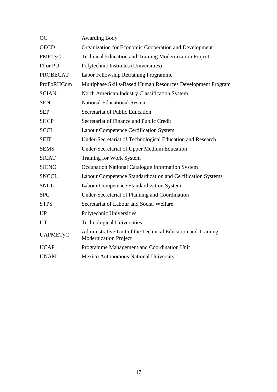| <b>OC</b>       | <b>Awarding Body</b>                                                                        |
|-----------------|---------------------------------------------------------------------------------------------|
| <b>OECD</b>     | Organization for Economic Cooperation and Development                                       |
| PMETyC          | <b>Technical Education and Training Modernization Project</b>                               |
| PI or PU        | Polytechnic Institutes (Universities)                                                       |
| <b>PROBECAT</b> | Labor Fellowship Retraining Programme                                                       |
| ProFoRHCom      | Multiphase Skills-Based Human Resources Development Program                                 |
| <b>SCIAN</b>    | North American Industry Classification System                                               |
| <b>SEN</b>      | <b>National Educational System</b>                                                          |
| <b>SEP</b>      | Secretariat of Public Education                                                             |
| <b>SHCP</b>     | Secretariat of Finance and Public Credit                                                    |
| <b>SCCL</b>     | Labour Competence Certification System                                                      |
| <b>SEIT</b>     | Under-Secretariat of Technological Education and Research                                   |
| <b>SEMS</b>     | <b>Under-Secretariat of Upper Medium Education</b>                                          |
| <b>SICAT</b>    | Training for Work System                                                                    |
| <b>SICNO</b>    | Occupation National Catalogue Information System                                            |
| <b>SNCCL</b>    | Labour Competence Standardization and Certification Systems                                 |
| <b>SNCL</b>     | Labour Competence Standardization System                                                    |
| <b>SPC</b>      | Under-Secretariat of Planning and Coordination                                              |
| <b>STPS</b>     | Secretariat of Labour and Social Welfare                                                    |
| <b>UP</b>       | Polytechnic Universities                                                                    |
| UT              | <b>Technological Universities</b>                                                           |
| <b>UAPMETyC</b> | Administrative Unit of the Technical Education and Training<br><b>Modernization Project</b> |
| <b>UCAP</b>     | Programme Management and Coordination Unit                                                  |
| <b>UNAM</b>     | Mexico Autonomous National University                                                       |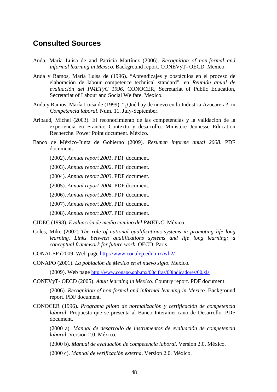## **Consulted Sources**

- Anda, María Luisa de and Patricia Martínez (2006). *Recognition of non-formal and informal learning in Mexico*. Background report. CONEVyT- OECD. Mexico.
- Anda y Ramos, María Luisa de (1996). "Aprendizajes y obstáculos en el proceso de elaboración de labour competence technical standard", en *Reunión anual de evaluación del PMETyC 1996*. CONOCER, Secretariat of Public Education, Secretariat of Labour and Social Welfare. Mexico.
- Anda y Ramos, María Luisa de (1999). "¿Qué hay de nuevo en la Industria Azucarera?, in *Competencia laboral*. Num. 11. July-September.
- Aribaud, Michel (2003). El reconocimiento de las competencias y la validación de la experiencia en Francia: Contexto y desarrollo. Ministère Jeunesse Education Recherche. Power Point document. México.
- Banco de México-Junta de Gobierno (2009). *Resumen informe anual 2008*. PDF document.
	- (2002). *Annual report 2001*. PDF document.

(2003). *Annual report 2002*. PDF document.

(2004). *Annual report 2003*. PDF document.

(2005). *Annual report 2004*. PDF document.

(2006). *Annual report 2005*. PDF document.

(2007). *Annual report 2006*. PDF document.

(2008). *Annual report 2007*. PDF document.

CIDEC (1998). *Evaluación de medio camino del PMETyC*. México.

Coles, Mike (2002) *The role of national qualifications systems in promoting life long learning. Links between qualifications systems and life long learning: a conceptual framework for future work*. OECD. Paris.

CONALEP (2009. Web page http://www.conalep.edu.mx/wb2/

CONAPO (2001). *La población de México en el nuevo siglo.* Mexico.

(2009). Web page http://www.conapo.gob.mx/00cifras/00indicadores/00.xls

CONEVyT- OECD (2005). *Adult learning in Mexico*. Country report. PDF document.

(2006). *Recognition of non-formal and informal learning in Mexico*. Background report. PDF document.

CONOCER (1996). *Programa piloto de normalización y certificación de competencia laboral*. Propuesta que se presenta al Banco Interamericano de Desarrollo. PDF document.

(2000 a). *Manual de desarrollo de instrumentos de evaluación de competencia laboral*. Version 2.0. México.

(2000 b). *Manual de evaluación de competencia laboral*. Version 2.0. México.

(2000 c). *Manual de verificación externa*. Version 2.0. México.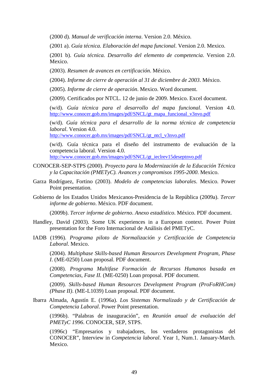(2000 d). *Manual de verificación interna*. Version 2.0. México.

(2001 a). *Guía técnica. Elaboración del mapa funcional*. Version 2.0. Mexico.

(2001 b). *Guía técnica. Desarrollo del elemento de competencia*. Version 2.0. Mexico.

(2003). *Resumen de avances en certificación*. México.

(2004). *Informe de cierre de operación al 31 de diciembre de 2003*. México.

(2005). *Informe de cierre de operación*. Mexico. Word document.

(2009). Certificados por NTCL. 12 de junio de 2009. Mexico. Excel document.

(w/d). *Guía técnica para el desarrollo del mapa funcional*. Version 4.0. http://www.conocer.gob.mx/images/pdf/SNCL/gt\_mapa\_funcional\_v3nvo.pdf

(w/d). *Guía técnica para el desarrollo de la norma técnica de competencia laboral*. Version 4.0.

http://www.conocer.gob.mx/images/pdf/SNCL/gt\_ntcl\_v3nvo.pdf

(w/d). Guía técnica para el diseño del instrumento de evaluación de la competencia laboral. Version 4.0.

http://www.conocer.gob.mx/images/pdf/SNCL/gt\_ieclrev15deseptnvo.pdf

- CONOCER-SEP-STPS (2000). *Proyecto para la Modernización de la Educación Técnica y la Capacitación (PMETyC). Avances y compromisos 1995-2000*. Mexico.
- Garza Rodríguez, Fortino (2003). *Modelo de competencias laborales*. Mexico. Power Point presentation.
- Gobierno de los Estados Unidos Mexicanos-Presidencia de la República (2009a). *Tercer informe de gobierno*. México. PDF document.

(2009b). *Tercer informe de gobierno*. *Anexo estadístico*. México. PDF document.

- Handley, David (2003). Some UK experiences in a European context. Power Point presentation for the Foro Internacional de Análisis del PMETyC.
- IADB (1996). *Programa piloto de Normalización y Certificación de Competencia Laboral*. Mexico.

(2004). *Multiphase Skills-based Human Resources Development Program, Phase I*. (ME-0250) Loan proposal. PDF document.

(2008). *Programa Multifase Formación de Recursos Humanos basada en Competencias, Fase II.* (ME-0250) Loan proposal. PDF document.

(2009). *Skills-based Human Resources Development Program (ProFoRHCom) (Phase II)*. (ME-L1039) Loan proposal. PDF document.

Ibarra Almada, Agustín E. (1996a). *Los Sistemas Normalizado y de Certificación de Competencia Laboral*. Power Point presentation.

(1996b). "Palabras de inauguración", en *Reunión anual de evaluación del PMETyC 1996*. CONOCER, SEP, STPS.

(1996c) "Empresarios y trabajadores, los verdaderos protagonistas del CONOCER", Interview in *Competencia laboral*. Year 1, Num.1. January-March. Mexico.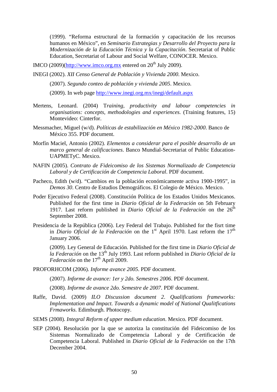(1999). "Reforma estructural de la formación y capacitación de los recursos humanos en México", en *Seminario Estrategias y Desarrollo del Proyecto para la Modernización de la Educación Técnica y la Capacitación*. Secretariat of Public Education, Secretariat of Labour and Social Welfare, CONOCER. Mexico.

IMCO (2009)( $\frac{http://www.imco.org.mx}$  entered on  $20^{th}$  July 2009).

INEGI (2002). *XII Censo General de Población y Vivienda 2000*. Mexico.

(2007). *Segundo conteo de población y vivienda 2005*. Mexico.

(2009). In web page http://www.inegi.org.mx/inegi/default.aspx

- Mertens, Leonard. (2004) T*raining, productivity and labour competencies in organisations: concepts, methodologies and experiences.* (Training features, 15) Montevideo: Cinterfor.
- Messmacher, Miguel (w/d). *Políticas de estabilización en México 1982-2000*. Banco de México 355. PDF document.
- Morfín Maciel, Antonio (2002). *Elementos a considerar para el posible desarrollo de un marco general de calificaciones*. Banco Mundial-Secretariat of Public Education-UAPMETyC. Mexico.
- NAFIN (2005). *Contrato de Fideicomiso de los Sistemas Normalizado de Competencia Laboral y de Certificación de Competencia Laboral*. PDF document.
- Pacheco, Edith (w/d). "Cambios en la población económicamente activa 1900-1995", in *Demos 30*. Centro de Estudios Demográficos. El Colegio de México. Mexico.
- Poder Ejecutivo Federal (2008). Constitución Política de los Estados Unidos Mexicanos. Published for the first time in *Diario Oficial de la Federación* on 5th February 1917. Last reform published in *Diario Oficial de la Federación* on the  $26<sup>th</sup>$ September 2008.
- Presidencia de la República (2006). Ley Federal del Trabajo. Published for the fisrt time in *Diario Oficial de la Federación* on the 1<sup>st</sup> April 1970. Last reform the 17<sup>th</sup> January 2006.

(2009). Ley General de Educación. Published for the first time in *Diario Oficial de la Federación* on the 13th July 1993. Last reform published in *Diario Oficial de la Federación* on the 17<sup>th</sup> April 2009.

PROFORHCOM (2006). *Informe avance 2005*. PDF document.

(2007). *Informe de avance: 1er y 2do. Semestres 2006*. PDF document.

(2008). *Informe de avance 2do. Semestre de 2007*. PDF document.

- Raffe, David. (2009) *ILO Discussion document 2*. *Qualifications frameworks: Implementation and Impact. Towards a dynamic model of National Qualitfications Frmaworks.* Edimburgh. Photocopy.
- SEMS (2008). *Integral Reform of upper medium education*. Mexico. PDF document.
- SEP (2004). Resolución por la que se autoriza la constitución del Fideicomiso de los Sistemas Normalizado de Competencia Laboral y de Certificación de Competencia Laboral. Published in *Diario Oficial de la Federación* on the 17th December 2004.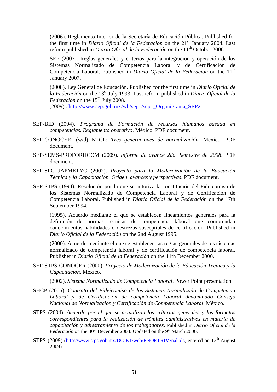(2006). Reglamento Interior de la Secretaría de Educación Pública. Published for the first time in *Diario Oficial de la Federación* on the 21st January 2004. Last reform published in *Diario Oficial de la Federación* on the 11<sup>th</sup> October 2006.

SEP (2007). Reglas generales y criterios para la integración y operación de los Sistemas Normalizado de Competencia Laboral y de Certificación de Competencia Laboral. Published in *Diario Oficial de la Federación* on the 11<sup>th</sup> January 2007.

(2008). Ley General de Educación. Published for the first time in *Diario Oficial de la Federación* on the 13st July 1993. Last reform published in *Diario Oficial de la Federación* on the  $15<sup>th</sup>$  July 2008.

(2009).. http://www.sep.gob.mx/wb/sep1/sep1\_Organigrama\_SEP2

- SEP-BID (2004). *Programa de Formación de recursos hiumanos basada en competencias. Reglamento operativo*. México. PDF document.
- SEP-CONOCER. (w/d) NTCL: *Tres generaciones de normalización*. Mexico. PDF document.
- SEP-SEMS-PROFORHCOM (2009). *Informe de avance 2do. Semestre de 2008*. PDF document.
- SEP-SPC-UAPMETYC (2002). *Proyecto para la Modernización de la Educación Técnica y la Capacitación. Origen, avances y perspectivas*. PDF document.
- SEP-STPS (1994). Resolución por la que se autoriza la constitución del Fideicomiso de los Sistemas Normalizado de Competencia Laboral y de Certificación de Competencia Laboral. Published in *Diario Oficial de la Federación* on the 17th September 1994.

(1995). Acuerdo mediante el que se establecen lineamientos generales para la definición de normas técnicas de competencia laboral que comprendan conocimientos habilidades o destrezas susceptibles de certificación. Published in *Diario Oficial de la Federación* on the 2nd August 1995.

(2000). Acuerdo mediante el que se establecen las reglas generales de los sistemas normalizado de competencia laboral y de certificación de competencia laboral. Publisher in *Diario Oficial de la Federación* on the 11th December 2000.

SEP-STPS-CONOCER (2000). *Proyecto de Modernización de la Educación Técnica y la Capacitación*. Mexico.

(2002). *Sistema Normalizado de Competencia Laboral*. Power Point presentation.

- SHCP (2005). *Contrato del Fideicomiso de los Sistemas Normalizado de Competencia Laboral y de Certificación de competencia Laboral denominado Consejo Nacional de Normalización y Certificación de Competencia Laboral*. México.
- STPS (2004). *Acuerdo por el que se actualizan los criterios generales y los formatos correspondientes para la realización de trámites administrativos en materia de capacitación y adiestramiento de los trabajadores*. Published in *Diario Oficial de la Federación* on the 30<sup>th</sup> December 2004. Updated on the 9<sup>th</sup> March 2006.
- STPS (2009) (http://www.stps.gob.mx/DGIET/web/ENOETRIM/nal.xls, entered on  $12<sup>th</sup>$  August 2009).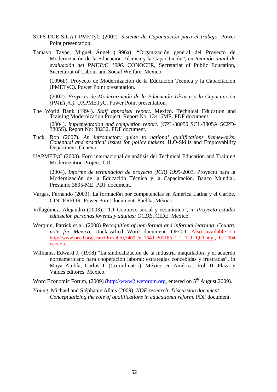- STPS-DGE-SICAT-PMETyC (2002). *Sistema de Capacitación para el trabajo*. Power Point presentation.
- Tamayo Taype, Miguel Ángel (1996a). "Organización general del Proyecto de Modernización de la Educación Técnica y la Capacitación", en *Reunión anual de evaluación del PMETyC 1996*. CONOCER, Secretariat of Public Education, Secretariat of Labour and Social Welfare. Mexico.

(1996b). Proyecto de Modernización de la Educación Técnica y la Capacitación (PMETyC). Power Point presentation.

(2002). *Proyecto de Modernización de la Educación Técnica y la Capacitación (PMETyC)*. UAPMETyC. Power Point presentation.

- The World Bank (1994). *Staff appraisal report*. Mexico. Technical Education and Training Modernization Project. Report No: 13416ME. PDF document. (2004). *Implementation and completion report*. (CPL-38050 SCL-3805A SCPD-3805S). Report No: 30232. PDF document.
- Tuck, Ron (2007). *An introductory guide to national qualifications frameworks: Coneptual and practical issues for policy makers*. ILO-Skills and Employability Department. Geneva.
- UAPMETyC (2003). Foro internacional de análisis del Technical Education and Training Modernization Project. CD.

(2004). *Informe de terminación de proyecto (ICR) 1995-*2003. Proyecto para la Modernización de la Educación Técnica y la Capacitación. Banco Mundial. Préstamo 3805-ME. PDF document.

- Vargas, Fernando (2003). La formación por competencias en América Latina y el Caribe. CINTERFOR. Power Point document. Puebla, México.
- Villagómez, Alejandro (2003). "1.1 Contexto social y económico"*, in Proyecto estudio educación personas jóvenes y adultas: OCDE*. CIDE. Mexico.
- Werquin, Patrick et al. (2008) *Recognition of non-formal and informal learning*. *Country note for Mexico*. Unclassified Word document. OECD. Also available on http://www.oecd.org/searchResult/0,3400,en\_2649\_201185\_1\_1\_1\_1\_1,00.html, the 2004 version.
- Williams, Edward J. (1998) "La sindicalización de la industria maquiladora y el acuerdo norteamericano para cooperación laboral: estrategias concebidas y frustradas", in Maya Ambía, Carlos J. (Co-ordinator). México en América. Vol. II. Plaza y Valdés editores. Mexico.
- Word Economic Forum, (2009) (http://www2.weforum.org, entered on 5<sup>th</sup> August 2009).
- Young, Michael and Stéphanie Allais (2009). *NQF research: Discussion document. Conceptualizing the role of qualifications in educational reform*. PDF document.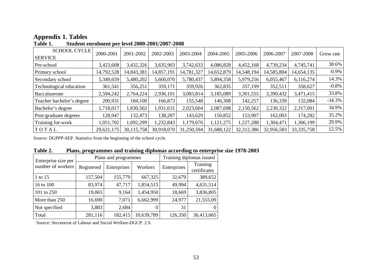| <b>SCHOOL CYCLE</b>       | 2000-2001  | 2001-2002  | 2002-2003  | 2003-2004  | 2004-2005  | 2005-2006  | 2006-2007  | 2007-2008    | Grow rate |
|---------------------------|------------|------------|------------|------------|------------|------------|------------|--------------|-----------|
| <b>SERVICE</b>            |            |            |            |            |            |            |            |              |           |
| Pre-school                | 3,423,608  | 3,432,326  | 3,635,903  | 3,742,633  | 4,086,828  | 4,452,168  | 4,739,234  | 4,745,741    | 38.6%     |
| Primary school            | 14,792,528 | 14,843,381 | 14,857,191 | 14,781,327 | 14,652,879 | 14,548,194 | 14,585,804 | 14,654,135   | $-0.9\%$  |
| Secondary school          | 5,349,659  | 5,480,202  | 5,660,070  | 5,780,437  | 5,894,358  | 5,979,256  | 6,055,467  | 6,116,274    | 14.3%     |
| Technological education   | 361,541    | 356,251    | 359,171    | 359,926    | 362,835    | 357,199    | 352,511    | 358,627      | $-0.8\%$  |
| Baccalaureate             | 2,594,242  | 2,764,224  | 2,936,101  | 3,083,814  | 3,185,089  | 3,301,555  | 3,390,432  | 3,471,415    | 33.8%     |
| Teacher bachelor's degree | 200,931    | 184,100    | 166,873    | 155,548    | 146,308    | 142,257    | 136,339    | 132,084      | $-34.3%$  |
| Bachelor's degree         | 1,718,017  | 1,830,502  | 1,931,631  | 2,023,604  | 2,087,698  | 2,150,562  | 2,230,322  | 2,317,001    | 34.9%     |
| Post-graduate degrees     | 128,947    | 132,473    | 138,287    | 143,629    | 150,852    | 153,907    | 162,003    | 174,282      | 35.2%     |
| Training for-work         | 1,051,702  | 1,092,299  | 1,232,843  | 1,179,676  | 1,121,275  | 1,227,288  | 1,304,471  | 1,366,199    | 29.9%     |
| TOTAL                     | 29,621,175 | 30,115,758 | 30,918,070 | 31,250,594 | 31,688,122 | 32,312,386 | 32,956,583 | 33, 335, 758 | 12.5%     |

# **Appendix 1. Tables**

| Table 1. |  | Student enrolment per level 2000-2001/2007-2008 |
|----------|--|-------------------------------------------------|
|----------|--|-------------------------------------------------|

Source: DGPPP-SEP. Statistics from the beginning of the school cycle.

| Table 2. | Plans, programmes and training diplomas according to enterprise size 1978-2003 |  |  |
|----------|--------------------------------------------------------------------------------|--|--|
|          |                                                                                |  |  |

| Enterprise size per |            | Plans and programmes | Training diplomas issued |             |                          |
|---------------------|------------|----------------------|--------------------------|-------------|--------------------------|
| number of workers   | Registered | Enterprises          | Workers                  | Enterprises | Training<br>certificates |
| 1 to 15             | 157,504    | 155,779              | 667,325                  | 32,679      | 389,652                  |
| 16 to 100           | 83,974     | 47,717               | 1,854,515                | 49,994      | 4,631,514                |
| 101 to 250          | 19,065     | 9,164                | 1,454,950                | 18,669      | 3,836,805                |
| More than 250       | 16,690     | 7,071                | 6,662,999                | 24,977      | 21,555,09                |
| Not specified       | 3,883      | 2,684                |                          | 31          | $\theta$                 |
| Total               | 281,116    | 182,415              | 10,639,789               | 126,350     | 30,413,065               |

Source: Secretariat of Labour and Social Welfare-DGCP. 2.9.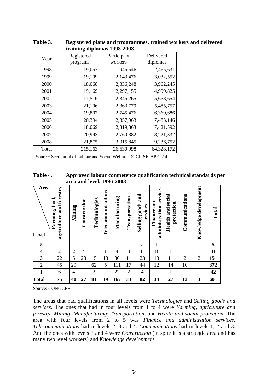| u annig uipiomas 1990-4000 |                        |                        |                       |  |  |  |  |  |  |  |  |
|----------------------------|------------------------|------------------------|-----------------------|--|--|--|--|--|--|--|--|
| Year                       | Registered<br>programs | Participant<br>workers | Delivered<br>diplomas |  |  |  |  |  |  |  |  |
| 1998                       | 19,057                 | 1,945,546              | 2,465,631             |  |  |  |  |  |  |  |  |
| 1999                       | 19,109                 | 2,143,476              | 3,032,552             |  |  |  |  |  |  |  |  |
| 2000                       | 18,068                 | 2,336,248              | 3,962,245             |  |  |  |  |  |  |  |  |
| 2001                       | 19,169                 | 2,297,155              | 4,999,825             |  |  |  |  |  |  |  |  |
| 2002                       | 17,516                 | 2,345,265              | 5,658,654             |  |  |  |  |  |  |  |  |
| 2003                       | 21,106                 | 2,363,779              | 5,485,757             |  |  |  |  |  |  |  |  |
| 2004                       | 19,807                 | 2,745,476              | 6,360,686             |  |  |  |  |  |  |  |  |
| 2005                       | 20,394                 | 2,357,963              | 7,483,146             |  |  |  |  |  |  |  |  |
| 2006                       | 18,069                 | 2,319,863              | 7,421,592             |  |  |  |  |  |  |  |  |
| 2007                       | 20,993                 | 2,760,382              | 8,221,332             |  |  |  |  |  |  |  |  |
| 2008                       | 21,875                 | 3,015,845              | 9,236,752             |  |  |  |  |  |  |  |  |
| Total                      | 215,163                | 26,630,998             | 64,328,172            |  |  |  |  |  |  |  |  |

**Table 3. Registered plans and programmes, trained workers and delivered training diplomas 1998-2008** 

Source: Secretariat of Labour and Social Welfare-DGCP-SICAPE. 2.4

**Table 4. Approved labour competence qualification technical standards per area and level. 1996-2003** 

| Area<br>Level           | agriculture and forestry<br>Farming, food,<br>፡ | Mining         | Construction   | Technologies   | Telecommunications | Manufacturing | Transportation | and<br>goods<br>services<br>Selling | services<br>and<br>administration<br>Finance | social<br>protection<br>Health and | Communications | Knowledge development | Total |
|-------------------------|-------------------------------------------------|----------------|----------------|----------------|--------------------|---------------|----------------|-------------------------------------|----------------------------------------------|------------------------------------|----------------|-----------------------|-------|
| 5                       |                                                 |                |                | 1              |                    |               |                | 3                                   | $\mathbf{1}$                                 |                                    |                |                       | 5     |
| $\overline{\mathbf{4}}$ | $\overline{2}$                                  | $\mathbf{2}$   | $\overline{4}$ | $\mathbf{1}$   | 1                  | 4             | 3              | 8                                   | 8                                            | 1                                  |                | 1                     | 31    |
| 3                       | 22                                              | 5              | 23             | 15             | 13                 | 30            | 11             | 23                                  | 13                                           | 11                                 | $\overline{2}$ | $\overline{2}$        | 151   |
| $\boldsymbol{2}$        | 45                                              | 29             |                | 62             | 5                  | 111           | 17             | 44                                  | 12                                           | 14                                 | 10             |                       | 372   |
| $\mathbf{1}$            | 6                                               | $\overline{4}$ |                | $\overline{2}$ |                    | 22            | $\overline{2}$ | $\overline{4}$                      |                                              | 1                                  | 1              |                       | 42    |
| <b>Total</b>            | 75                                              | 40             | 27             | 81             | 19                 | 167           | 33             | 82                                  | 34                                           | 27                                 | 13             | 3                     | 601   |

Source: CONOCER.

The areas that had qualifications in all levels were *Technologies* and *Selling goods and services*. The ones that had in four levels from 1 to 4 were *Farming, agriculture and forestry*; *Mining*; *Manufacturing*; *Transportation*; and *Health and social protection*. The area with four levels from 2 to 5 was *Finance and administration services*. *Telecommunications* had in levels 2, 3 and 4. *Communications* had in levels 1, 2 and 3. And the ones with levels 3 and 4 were *Construction* (in spite it is a strategic area and has many two level workers) and *Knowledge development*.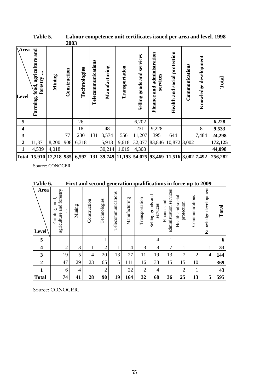| <b>Area</b><br>Level    | and<br>agriculture<br>forestry<br>food.<br>Farming, | Mining                        | Construction | Technologies | Telecommunications | Manufacturing                                                  | Transportation | services<br>goods and<br>Selling | and administration<br>services<br>Finance | protection<br>social<br>Health and | Communications | development<br>Knowledge | Total   |
|-------------------------|-----------------------------------------------------|-------------------------------|--------------|--------------|--------------------|----------------------------------------------------------------|----------------|----------------------------------|-------------------------------------------|------------------------------------|----------------|--------------------------|---------|
| 5                       |                                                     |                               |              | 26           |                    |                                                                |                | 6,202                            |                                           |                                    |                |                          | 6,228   |
| $\overline{\mathbf{4}}$ |                                                     |                               |              | 18           |                    | 48                                                             |                | 231                              | 9,228                                     |                                    |                | 8                        | 9,533   |
| 3                       |                                                     |                               | 77           | 230          | 131                | 3,574                                                          | 556            | 11,207                           | 395                                       | 644                                |                | 7,484                    | 24,298  |
| $\boldsymbol{2}$        | 11,371                                              | 8,200                         | 908          | 6,318        |                    | 5,913                                                          | 9,618          | 32,077                           | 83,846                                    | 10,872 3,002                       |                |                          | 172,125 |
| $\mathbf{1}$            | 4,539                                               | 4,018                         |              |              |                    | 30,214                                                         | 1,019          | 4,308                            |                                           |                                    |                |                          | 44,098  |
|                         |                                                     | Total   15,910   12,218   985 |              | 6,592        |                    | $ 131 $ 39,749 $ 11,193 $ 54,025 $ 93,469 11,516 3,002 7,492 $ |                |                                  |                                           |                                    |                |                          | 256,282 |

**Table 5. Labour competence unit certificates issued per area and level. 1998- 2003** 

Source: CONOCER.

| Table 6. |  | First and second generation qualifications in force up to 2009 |
|----------|--|----------------------------------------------------------------|
|          |  |                                                                |

| Area<br>Level           | agriculture and forestry<br>Farming, food, | Mining         | Construction   | Technologies   | Telecommunications | Manufacturing  | Transportation | and<br>goods<br>services<br>Selling | administration services<br>and<br>Finance | social<br>protection<br>Health and | Communications | Knowledge development | Total |
|-------------------------|--------------------------------------------|----------------|----------------|----------------|--------------------|----------------|----------------|-------------------------------------|-------------------------------------------|------------------------------------|----------------|-----------------------|-------|
| 5                       |                                            |                |                | $\mathbf{1}$   |                    |                |                | 4                                   | $\mathbf{1}$                              |                                    |                |                       | 6     |
| $\overline{\mathbf{4}}$ | $\overline{2}$                             | 3              | 1              | $\overline{c}$ | 1                  | $\overline{4}$ | 3              | 8                                   | $\overline{7}$                            | $\mathbf{1}$                       |                | $\mathbf{1}$          | 33    |
| 3                       | 19                                         | 5              | $\overline{4}$ | 20             | 13                 | 27             | 11             | 19                                  | 13                                        | 7                                  | $\overline{2}$ | $\overline{4}$        | 144   |
| $\boldsymbol{2}$        | 47                                         | 29             | 23             | 65             | 5                  | 111            | 16             | 33                                  | 15                                        | 15                                 | 10             |                       | 369   |
| $\mathbf{1}$            | 6                                          | $\overline{4}$ |                | $\overline{c}$ |                    | 22             | $\overline{2}$ | $\overline{4}$                      |                                           | $\overline{2}$                     | 1              |                       | 43    |
| <b>Total</b>            | 74                                         | 41             | 28             | 90             | 19                 | 164            | 32             | 68                                  | 36                                        | 25                                 | 13             | 5                     | 595   |

Source: CONOCER.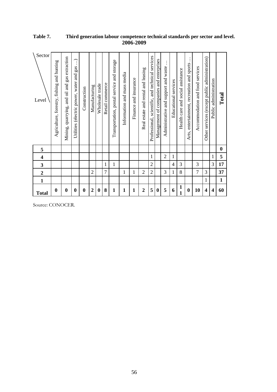| Sector<br>Level  | Agriculture, forestry, fishing and hunting | gas extraction<br>oil and<br>Mining, quarrying, and | $\ddot{\phantom{a}}$<br>gas<br>Utilities (electric power, water and | Construction | Manufacturing  | Wholesale trade  | Retail commerce | Transportation, postal service and storage | Information and mass media | and insurance<br>Finance | Real estate and rental and leasing | services<br>Professional, scientific, and technical | Management of companies and enterprises | Administrative and support and waste | Educational services | Health care and social assistance | Arts, entertainment, recreation and sports | Accommodation and food services | Other services (except public administration) | Public administration   | $\Gamma$ otal |
|------------------|--------------------------------------------|-----------------------------------------------------|---------------------------------------------------------------------|--------------|----------------|------------------|-----------------|--------------------------------------------|----------------------------|--------------------------|------------------------------------|-----------------------------------------------------|-----------------------------------------|--------------------------------------|----------------------|-----------------------------------|--------------------------------------------|---------------------------------|-----------------------------------------------|-------------------------|---------------|
| 5                |                                            |                                                     |                                                                     |              |                |                  |                 |                                            |                            |                          |                                    |                                                     |                                         |                                      |                      |                                   |                                            |                                 |                                               |                         | $\bf{0}$      |
| 4                |                                            |                                                     |                                                                     |              |                |                  |                 |                                            |                            |                          |                                    | 1                                                   |                                         | $\overline{2}$                       | 1                    |                                   |                                            |                                 |                                               | 1                       | 5             |
| 3                |                                            |                                                     |                                                                     |              |                |                  | 1               | $\mathbf 1$                                |                            |                          |                                    | $\overline{c}$                                      |                                         |                                      | $\overline{4}$       | 3                                 |                                            | 3                               |                                               | 3                       | 17            |
| $\boldsymbol{2}$ |                                            |                                                     |                                                                     |              | $\overline{2}$ |                  | $\overline{7}$  |                                            | 1                          | 1                        | $\overline{2}$                     | $\overline{2}$                                      |                                         | 3                                    | 1                    | 8                                 |                                            | $\overline{7}$                  | 3                                             |                         | 37            |
| $\mathbf{1}$     |                                            |                                                     |                                                                     |              |                |                  |                 |                                            |                            |                          |                                    |                                                     |                                         |                                      |                      |                                   |                                            |                                 | 1                                             |                         | $\mathbf{1}$  |
| <b>Total</b>     | 0                                          | $\boldsymbol{0}$                                    | $\bf{0}$                                                            | $\bf{0}$     | $\overline{2}$ | $\boldsymbol{0}$ | 8               | $\mathbf{1}$                               | $\mathbf{1}$               | $\mathbf{1}$             | $\overline{2}$                     | 5                                                   | $\boldsymbol{0}$                        | 5                                    | 6                    | 1                                 | $\bf{0}$                                   | 10                              | 4                                             | $\overline{\mathbf{4}}$ | 60            |

#### **Table 7. Third generation labour competence technical standards per sector and level. 2006-2009**

Source: CONOCER.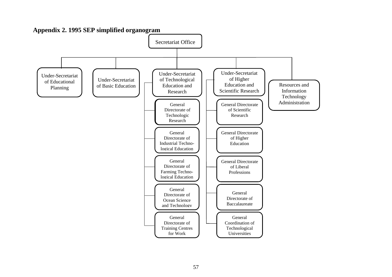

**Appendix 2. 1995 SEP simplified organogram**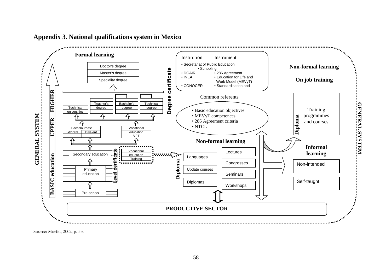

### **Appendix 3. National qualifications system in Mexico**

Source: Morfín, 2002, p. 53.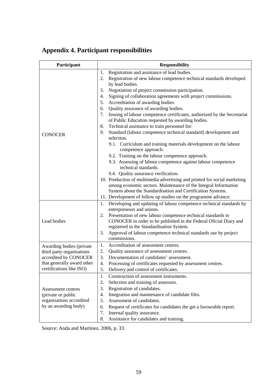# **Appendix 4. Participant responsibilities**

| Participant                | <b>Responsibility</b>                                                                                  |  |  |  |  |  |  |
|----------------------------|--------------------------------------------------------------------------------------------------------|--|--|--|--|--|--|
|                            | Registration and assistance of lead bodies.<br>1.                                                      |  |  |  |  |  |  |
|                            | Registration of new labour competence technical standards developed<br>2.<br>by lead bodies.           |  |  |  |  |  |  |
|                            | Negotiation of project commission participation.<br>3.                                                 |  |  |  |  |  |  |
|                            | Signing of collaboration agreements with project commissions.<br>4.                                    |  |  |  |  |  |  |
|                            | Accreditation of awarding bodies.<br>5.                                                                |  |  |  |  |  |  |
|                            | Quality assurance of awarding bodies.<br>6.                                                            |  |  |  |  |  |  |
|                            | Issuing of labour competence certificates, authorized by the Secretariat<br>7.                         |  |  |  |  |  |  |
|                            | of Public Education requested by awarding bodies.                                                      |  |  |  |  |  |  |
|                            | Technical assistance to train personnel for:<br>8.                                                     |  |  |  |  |  |  |
| <b>CONOCER</b>             | Standard (labour competence technical standard) development and<br>9.<br>selection.                    |  |  |  |  |  |  |
|                            | 9.1. Curriculum and training materials development on the labour<br>competence approach.               |  |  |  |  |  |  |
|                            | 9.2. Training on the labour competence approach.                                                       |  |  |  |  |  |  |
|                            | 9.3. Assessing of labour competence against labour competence<br>technical standards.                  |  |  |  |  |  |  |
|                            | 9.4. Quality assurance verification.                                                                   |  |  |  |  |  |  |
|                            | 10. Production of multimedia advertising and printed for social marketing                              |  |  |  |  |  |  |
|                            | among economic sectors. Maintenance of the Integral Information                                        |  |  |  |  |  |  |
|                            | System about the Standardisation and Certification Systems.                                            |  |  |  |  |  |  |
|                            | 11. Development of follow up studies on the programme advance.                                         |  |  |  |  |  |  |
|                            | Developing and updating of labour competence technical standards by<br>1.<br>entrepreneurs and unions. |  |  |  |  |  |  |
|                            | Presentation of new labour competence technical standards to<br>2.                                     |  |  |  |  |  |  |
| Lead bodies                | CONOCER in order to be published in the Federal Oficial Diary and                                      |  |  |  |  |  |  |
|                            | registered in the Standardisation System.                                                              |  |  |  |  |  |  |
|                            | Approval of labour competence technical standards use by project<br>3.<br>commissions.                 |  |  |  |  |  |  |
| Awarding bodies (private   | Accreditation of assessment centres.<br>1.                                                             |  |  |  |  |  |  |
| third party organisations  | 2.<br>Quality assurance of assessment centres.                                                         |  |  |  |  |  |  |
| accredited by CONOCER      | Documentation of candidates' assessment.<br>3.                                                         |  |  |  |  |  |  |
| that generally award other | 4.<br>Processing of certificates requested by assessment centres.                                      |  |  |  |  |  |  |
| certifications like ISO)   | 5.<br>Delivery and control of certificates.                                                            |  |  |  |  |  |  |
|                            | Construction of assessment instruments.<br>1.                                                          |  |  |  |  |  |  |
|                            | 2.<br>Selection and training of assessors.                                                             |  |  |  |  |  |  |
| Assessment centres         | Registration of candidates.<br>3.                                                                      |  |  |  |  |  |  |
| (private or public         | Integration and maintenance of candidate files.<br>4.                                                  |  |  |  |  |  |  |
| organisations accredited   | Assessment of candidates.<br>5.                                                                        |  |  |  |  |  |  |
| by an awarding body)       | 6.<br>Request of certificates for candidates the get a favourable report.                              |  |  |  |  |  |  |
|                            | 7.<br>Internal quality assurance.                                                                      |  |  |  |  |  |  |
|                            | Assistance for candidates and training.<br>8.                                                          |  |  |  |  |  |  |

Source: Anda and Martínez, 2006, p. 33.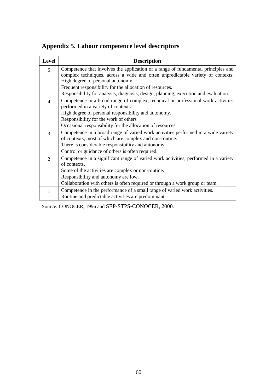**Appendix 5. Labour competence level descriptors** 

| <b>Level</b> | <b>Description</b>                                                                  |
|--------------|-------------------------------------------------------------------------------------|
| 5            | Competence that involves the application of a range of fundamental principles and   |
|              | complex techniques, across a wide and often unpredictable variety of contexts.      |
|              | High degree of personal autonomy.                                                   |
|              | Frequent responsibility for the allocation of resources.                            |
|              | Responsibility for analysis, diagnosis, design, planning, execution and evaluation. |
| 4            | Competence in a broad range of complex, technical or professional work activities   |
|              | performed in a variety of contexts.                                                 |
|              | High degree of personal responsibility and autonomy.                                |
|              | Responsibility for the work of others                                               |
|              | Occasional responsibility for the allocation of resources.                          |
| 3            | Competence in a broad range of varied work activities performed in a wide variety   |
|              | of contexts, most of which are complex and non-routine.                             |
|              | There is considerable responsibility and autonomy.                                  |
|              | Control or guidance of others is often required.                                    |
| 2            | Competence in a significant range of varied work activities, performed in a variety |
|              | of contexts.                                                                        |
|              | Some of the activities are complex or non-routine.                                  |
|              | Responsibility and autonomy are low.                                                |
|              | Collaboration with others is often required or through a work group or team.        |
| 1            | Competence in the performance of a small range of varied work activities.           |
|              | Routine and predictable activities are predominant.                                 |

Source: CONOCER, 1996 and SEP-STPS-CONOCER, 2000.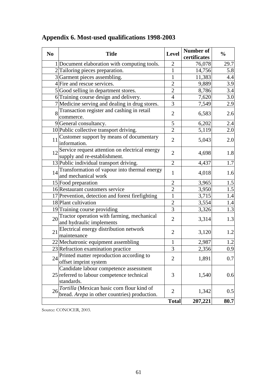| N <sub>0</sub> | <b>Title</b>                                                                                       | <b>Level</b>   | Number of<br>certificates | $\frac{0}{0}$ |
|----------------|----------------------------------------------------------------------------------------------------|----------------|---------------------------|---------------|
|                | 1 Document elaboration with computing tools.                                                       | $\overline{2}$ | 76,078                    | 29.7          |
|                | 2 Tailoring pieces preparation.                                                                    | 1              | 14,756                    | 5.8           |
|                | 3 Garment pieces assembling.                                                                       | 1              | 11,383                    | 4.4           |
|                | 4 Fire and rescue services.                                                                        | $\overline{2}$ | 9,889                     | 3.9           |
|                | 5 Good selling in department stores.                                                               | $\overline{2}$ | 8,786                     | 3.4           |
|                | 6 Training course design and delivery.                                                             | $\overline{4}$ | 7,620                     | 3.0           |
|                | 7 Medicine serving and dealing in drug stores.                                                     | 3              | 7,549                     | 2.9           |
|                | 8 Transaction register and cashing in retail<br>commerce.                                          | $\overline{2}$ | 6,583                     | 2.6           |
|                | 9General consultancy.                                                                              | 5              | 6,202                     | 2.4           |
|                | 10 Public collective transport driving.                                                            | $\overline{2}$ | 5,119                     | 2.0           |
| 11             | Customer support by means of documentary<br>information.                                           | $\overline{2}$ | 5,043                     | 2.0           |
|                | 12 Service request attention on electrical energy<br>supply and re-establishment.                  | $\overline{2}$ | 4,698                     | 1.8           |
|                | 13 Public individual transport driving.                                                            | $\overline{2}$ | 4,437                     | 1.7           |
|                | 14 Transformation of vapour into thermal energy<br>and mechanical work                             | $\mathbf{1}$   | 4,018                     | 1.6           |
|                | 15 Food preparation                                                                                | $\overline{2}$ | 3,965                     | 1.5           |
|                | 16 Restaurant customers service                                                                    | $\overline{2}$ | 3,950                     | 1.5           |
|                | 17 Prevention, detection and forest firefighting                                                   | 1              | 3,715                     | 1.4           |
|                | 18 Plant cultivation                                                                               | $\overline{2}$ | 3,554                     | 1.4           |
|                | 19 Training course providing                                                                       | 3              | 3,326                     | 1.3           |
| 20             | Tractor operation with farming, mechanical<br>and hydraulic implements                             | $\overline{2}$ | 3,314                     | 1.3           |
| 21             | Electrical energy distribution network<br>maintenance                                              | $\overline{2}$ | 3,120                     | 1.2           |
|                | 22 Mechatronic equipment assembling                                                                | 1              | 2,987                     | 1.2           |
|                | 23 Refraction examination practice                                                                 | 3              | 2,356                     | 0.9           |
| 24             | Printed matter reproduction according to<br>offset imprint system                                  | $\overline{2}$ | 1,891                     | 0.7           |
|                | Candidate labour competence assessment<br>25 referred to labour competence technical<br>standards. | 3              | 1,540                     | 0.6           |
| 26             | Tortilla (Mexican basic corn flour kind of<br>bread. Arepa in other countries) production.         | $\overline{2}$ | 1,342                     | 0.5           |
|                |                                                                                                    | <b>Total</b>   | 207,221                   | 80.7          |

# **Appendix 6. Most-used qualifications 1998-2003**

Source: CONOCER, 2003.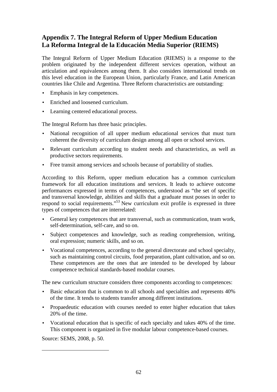# **Appendix 7. The Integral Reform of Upper Medium Education La Reforma Integral de la Educación Media Superior (RIEMS)**

The Integral Reform of Upper Medium Education (RIEMS) is a response to the problem originated by the independent different services operation, without an articulation and equivalences among them. It also considers international trends on this level education in the European Union, particularly France, and Latin American countries like Chile and Argentina. Three Reform characteristics are outstanding:

- Emphasis in key competences.
- Enriched and loosened curriculum.
- Learning centered educational process.

The Integral Reform has three basic principles.

- National recognition of all upper medium educational services that must turn coherent the diversity of curriculum design among all open or school services.
- Relevant curriculum according to student needs and characteristics, as well as productive sectors requirements.
- Free transit among services and schools because of portability of studies.

According to this Reform, upper medium education has a common curriculum framework for all education institutions and services. It leads to achieve outcome performances expressed in terms of competences, understood as "the set of specific and transversal knowledge, abilities and skills that a graduate must posses in order to respond to social requirements."<sup>53</sup> New curriculum exit profile is expressed in three types of competences that are interrelated:

- General key competences that are transversal, such as communication, team work, self-determination, self-care, and so on.
- Subject competences and knowledge, such as reading comprehension, writing, oral expression; numeric skills, and so on.
- Vocational competences, according to the general directorate and school specialty, such as maintaining control circuits, food preparation, plant cultivation, and so on. These competences are the ones that are intended to be developed by labour competence technical standards-based modular courses.

The new curriculum structure considers three components according to competences:

- Basic education that is common to all schools and specialties and represents 40% of the time. It tends to students transfer among different institutions.
- Propaedeutic education with courses needed to enter higher education that takes 20% of the time.
- Vocational education that is specific of each specialty and takes 40% of the time. This component is organized in five modular labour competence-based courses.

Source: SEMS, 2008, p. 50.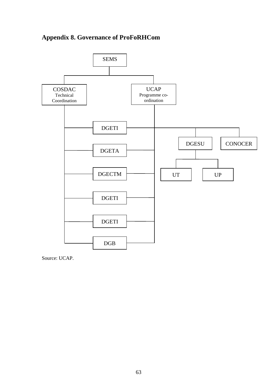# **Appendix 8. Governance of ProFoRHCom**



Source: UCAP.